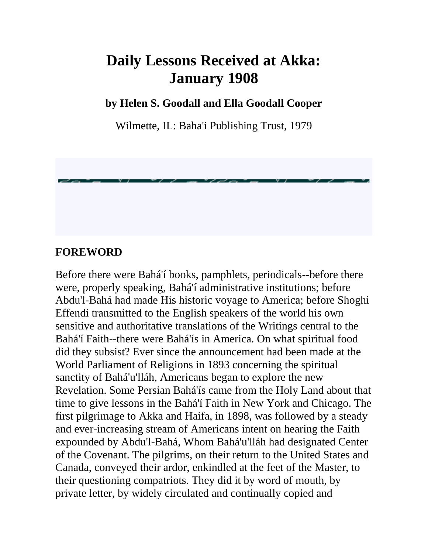# **Daily Lessons Received at Akka: January 1908**

**by Helen S. Goodall and Ella Goodall Cooper**

Wilmette, IL: Baha'i Publishing Trust, 1979

#### **FOREWORD**

Before there were Bahá'í books, pamphlets, periodicals--before there were, properly speaking, Bahá'í administrative institutions; before Abdu'l-Bahá had made His historic voyage to America; before Shoghi Effendi transmitted to the English speakers of the world his own sensitive and authoritative translations of the Writings central to the Bahá'í Faith--there were Bahá'ís in America. On what spiritual food did they subsist? Ever since the announcement had been made at the World Parliament of Religions in 1893 concerning the spiritual sanctity of Bahá'u'lláh, Americans began to explore the new Revelation. Some Persian Bahá'ís came from the Holy Land about that time to give lessons in the Bahá'í Faith in New York and Chicago. The first pilgrimage to Akka and Haifa, in 1898, was followed by a steady and ever-increasing stream of Americans intent on hearing the Faith expounded by Abdu'l-Bahá, Whom Bahá'u'lláh had designated Center of the Covenant. The pilgrims, on their return to the United States and Canada, conveyed their ardor, enkindled at the feet of the Master, to their questioning compatriots. They did it by word of mouth, by private letter, by widely circulated and continually copied and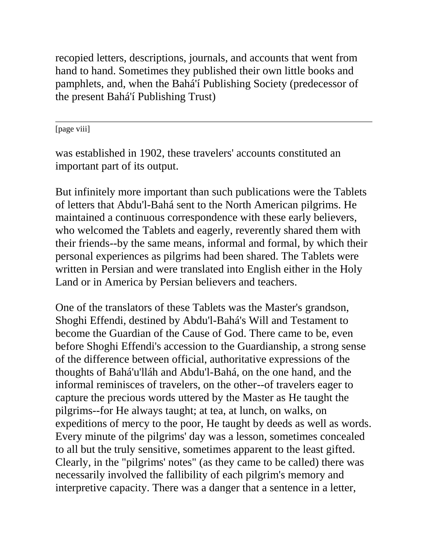recopied letters, descriptions, journals, and accounts that went from hand to hand. Sometimes they published their own little books and pamphlets, and, when the Bahá'í Publishing Society (predecessor of the present Bahá'í Publishing Trust)

[page viii]

was established in 1902, these travelers' accounts constituted an important part of its output.

But infinitely more important than such publications were the Tablets of letters that Abdu'l-Bahá sent to the North American pilgrims. He maintained a continuous correspondence with these early believers, who welcomed the Tablets and eagerly, reverently shared them with their friends--by the same means, informal and formal, by which their personal experiences as pilgrims had been shared. The Tablets were written in Persian and were translated into English either in the Holy Land or in America by Persian believers and teachers.

One of the translators of these Tablets was the Master's grandson, Shoghi Effendi, destined by Abdu'l-Bahá's Will and Testament to become the Guardian of the Cause of God. There came to be, even before Shoghi Effendi's accession to the Guardianship, a strong sense of the difference between official, authoritative expressions of the thoughts of Bahá'u'lláh and Abdu'l-Bahá, on the one hand, and the informal reminisces of travelers, on the other--of travelers eager to capture the precious words uttered by the Master as He taught the pilgrims--for He always taught; at tea, at lunch, on walks, on expeditions of mercy to the poor, He taught by deeds as well as words. Every minute of the pilgrims' day was a lesson, sometimes concealed to all but the truly sensitive, sometimes apparent to the least gifted. Clearly, in the "pilgrims' notes" (as they came to be called) there was necessarily involved the fallibility of each pilgrim's memory and interpretive capacity. There was a danger that a sentence in a letter,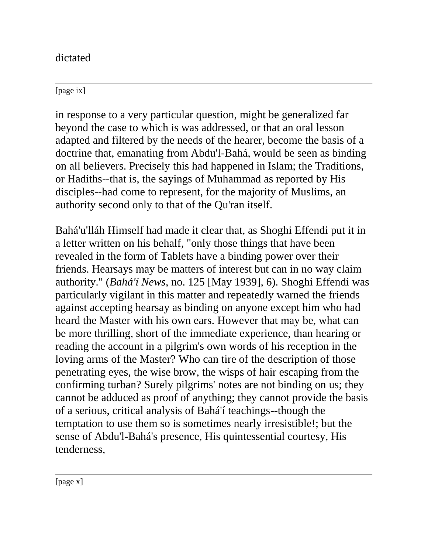dictated

[page ix]

in response to a very particular question, might be generalized far beyond the case to which is was addressed, or that an oral lesson adapted and filtered by the needs of the hearer, become the basis of a doctrine that, emanating from Abdu'l-Bahá, would be seen as binding on all believers. Precisely this had happened in Islam; the Traditions, or Hadiths--that is, the sayings of Muhammad as reported by His disciples--had come to represent, for the majority of Muslims, an authority second only to that of the Qu'ran itself.

Bahá'u'lláh Himself had made it clear that, as Shoghi Effendi put it in a letter written on his behalf, "only those things that have been revealed in the form of Tablets have a binding power over their friends. Hearsays may be matters of interest but can in no way claim authority." (*Bahá'í News*, no. 125 [May 1939], 6). Shoghi Effendi was particularly vigilant in this matter and repeatedly warned the friends against accepting hearsay as binding on anyone except him who had heard the Master with his own ears. However that may be, what can be more thrilling, short of the immediate experience, than hearing or reading the account in a pilgrim's own words of his reception in the loving arms of the Master? Who can tire of the description of those penetrating eyes, the wise brow, the wisps of hair escaping from the confirming turban? Surely pilgrims' notes are not binding on us; they cannot be adduced as proof of anything; they cannot provide the basis of a serious, critical analysis of Bahá'í teachings--though the temptation to use them so is sometimes nearly irresistible!; but the sense of Abdu'l-Bahá's presence, His quintessential courtesy, His tenderness,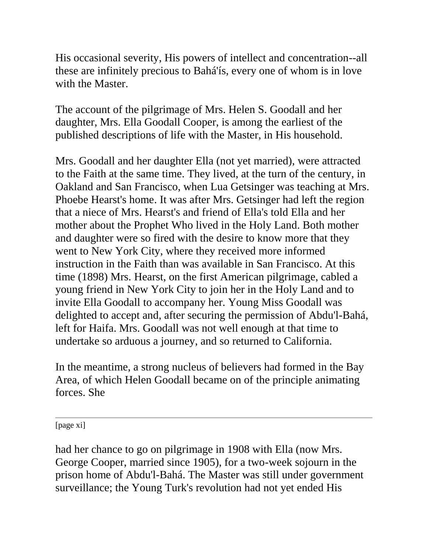His occasional severity, His powers of intellect and concentration--all these are infinitely precious to Bahá'ís, every one of whom is in love with the Master.

The account of the pilgrimage of Mrs. Helen S. Goodall and her daughter, Mrs. Ella Goodall Cooper, is among the earliest of the published descriptions of life with the Master, in His household.

Mrs. Goodall and her daughter Ella (not yet married), were attracted to the Faith at the same time. They lived, at the turn of the century, in Oakland and San Francisco, when Lua Getsinger was teaching at Mrs. Phoebe Hearst's home. It was after Mrs. Getsinger had left the region that a niece of Mrs. Hearst's and friend of Ella's told Ella and her mother about the Prophet Who lived in the Holy Land. Both mother and daughter were so fired with the desire to know more that they went to New York City, where they received more informed instruction in the Faith than was available in San Francisco. At this time (1898) Mrs. Hearst, on the first American pilgrimage, cabled a young friend in New York City to join her in the Holy Land and to invite Ella Goodall to accompany her. Young Miss Goodall was delighted to accept and, after securing the permission of Abdu'l-Bahá, left for Haifa. Mrs. Goodall was not well enough at that time to undertake so arduous a journey, and so returned to California.

In the meantime, a strong nucleus of believers had formed in the Bay Area, of which Helen Goodall became on of the principle animating forces. She

[page xi]

had her chance to go on pilgrimage in 1908 with Ella (now Mrs. George Cooper, married since 1905), for a two-week sojourn in the prison home of Abdu'l-Bahá. The Master was still under government surveillance; the Young Turk's revolution had not yet ended His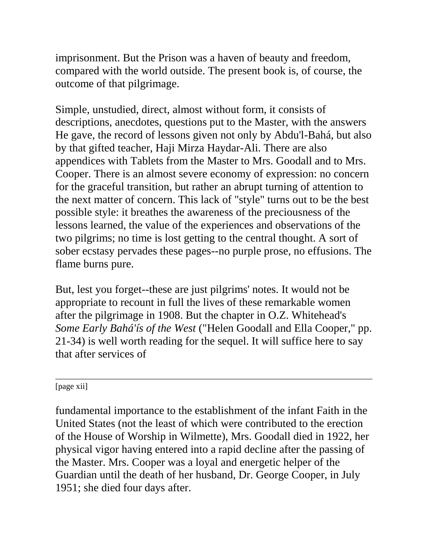imprisonment. But the Prison was a haven of beauty and freedom, compared with the world outside. The present book is, of course, the outcome of that pilgrimage.

Simple, unstudied, direct, almost without form, it consists of descriptions, anecdotes, questions put to the Master, with the answers He gave, the record of lessons given not only by Abdu'l-Bahá, but also by that gifted teacher, Haji Mirza Haydar-Ali. There are also appendices with Tablets from the Master to Mrs. Goodall and to Mrs. Cooper. There is an almost severe economy of expression: no concern for the graceful transition, but rather an abrupt turning of attention to the next matter of concern. This lack of "style" turns out to be the best possible style: it breathes the awareness of the preciousness of the lessons learned, the value of the experiences and observations of the two pilgrims; no time is lost getting to the central thought. A sort of sober ecstasy pervades these pages--no purple prose, no effusions. The flame burns pure.

But, lest you forget--these are just pilgrims' notes. It would not be appropriate to recount in full the lives of these remarkable women after the pilgrimage in 1908. But the chapter in O.Z. Whitehead's *Some Early Bahá'ís of the West* ("Helen Goodall and Ella Cooper," pp. 21-34) is well worth reading for the sequel. It will suffice here to say that after services of

[page xii]

fundamental importance to the establishment of the infant Faith in the United States (not the least of which were contributed to the erection of the House of Worship in Wilmette), Mrs. Goodall died in 1922, her physical vigor having entered into a rapid decline after the passing of the Master. Mrs. Cooper was a loyal and energetic helper of the Guardian until the death of her husband, Dr. George Cooper, in July 1951; she died four days after.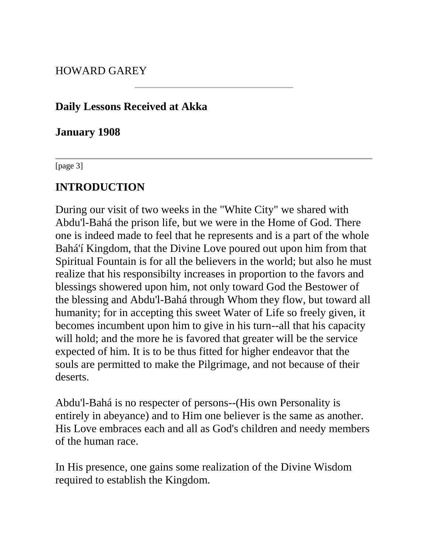HOWARD GAREY

#### **Daily Lessons Received at Akka**

**January 1908**

[page 3]

## **INTRODUCTION**

During our visit of two weeks in the "White City" we shared with Abdu'l-Bahá the prison life, but we were in the Home of God. There one is indeed made to feel that he represents and is a part of the whole Bahá'í Kingdom, that the Divine Love poured out upon him from that Spiritual Fountain is for all the believers in the world; but also he must realize that his responsibilty increases in proportion to the favors and blessings showered upon him, not only toward God the Bestower of the blessing and Abdu'l-Bahá through Whom they flow, but toward all humanity; for in accepting this sweet Water of Life so freely given, it becomes incumbent upon him to give in his turn--all that his capacity will hold; and the more he is favored that greater will be the service expected of him. It is to be thus fitted for higher endeavor that the souls are permitted to make the Pilgrimage, and not because of their deserts.

Abdu'l-Bahá is no respecter of persons--(His own Personality is entirely in abeyance) and to Him one believer is the same as another. His Love embraces each and all as God's children and needy members of the human race.

In His presence, one gains some realization of the Divine Wisdom required to establish the Kingdom.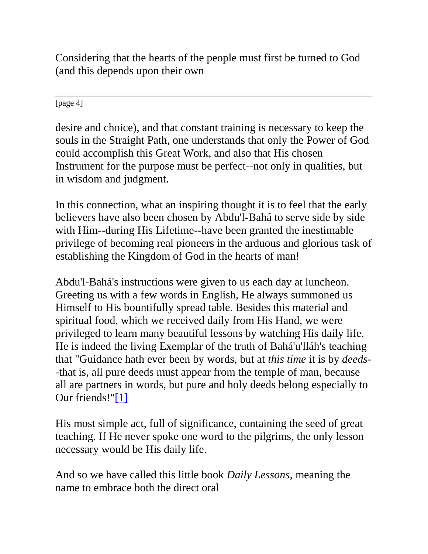Considering that the hearts of the people must first be turned to God (and this depends upon their own

[page 4]

desire and choice), and that constant training is necessary to keep the souls in the Straight Path, one understands that only the Power of God could accomplish this Great Work, and also that His chosen Instrument for the purpose must be perfect--not only in qualities, but in wisdom and judgment.

In this connection, what an inspiring thought it is to feel that the early believers have also been chosen by Abdu'l-Bahá to serve side by side with Him--during His Lifetime--have been granted the inestimable privilege of becoming real pioneers in the arduous and glorious task of establishing the Kingdom of God in the hearts of man!

Abdu'l-Bahá's instructions were given to us each day at luncheon. Greeting us with a few words in English, He always summoned us Himself to His bountifully spread table. Besides this material and spiritual food, which we received daily from His Hand, we were privileged to learn many beautiful lessons by watching His daily life. He is indeed the living Exemplar of the truth of Bahá'u'lláh's teaching that "Guidance hath ever been by words, but at *this time* it is by *deeds*- -that is, all pure deeds must appear from the temple of man, because all are partners in words, but pure and holy deeds belong especially to Our friends!["\[1\]](http://bahai-library.com/goodall_cooper_daily_lessons#fn1)

His most simple act, full of significance, containing the seed of great teaching. If He never spoke one word to the pilgrims, the only lesson necessary would be His daily life.

And so we have called this little book *Daily Lessons*, meaning the name to embrace both the direct oral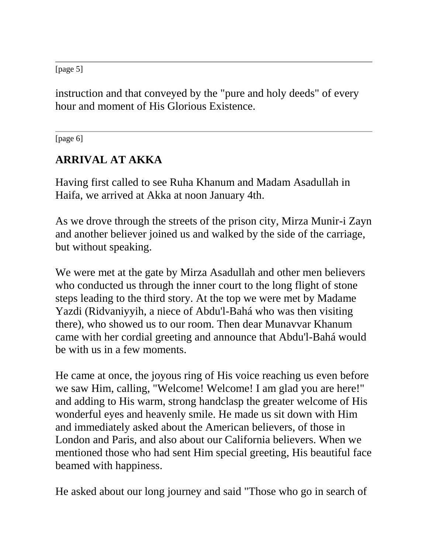[page 5]

instruction and that conveyed by the "pure and holy deeds" of every hour and moment of His Glorious Existence.

[page 6]

# **ARRIVAL AT AKKA**

Having first called to see Ruha Khanum and Madam Asadullah in Haifa, we arrived at Akka at noon January 4th.

As we drove through the streets of the prison city, Mirza Munir-i Zayn and another believer joined us and walked by the side of the carriage, but without speaking.

We were met at the gate by Mirza Asadullah and other men believers who conducted us through the inner court to the long flight of stone steps leading to the third story. At the top we were met by Madame Yazdi (Ridvaniyyih, a niece of Abdu'l-Bahá who was then visiting there), who showed us to our room. Then dear Munavvar Khanum came with her cordial greeting and announce that Abdu'l-Bahá would be with us in a few moments.

He came at once, the joyous ring of His voice reaching us even before we saw Him, calling, "Welcome! Welcome! I am glad you are here!" and adding to His warm, strong handclasp the greater welcome of His wonderful eyes and heavenly smile. He made us sit down with Him and immediately asked about the American believers, of those in London and Paris, and also about our California believers. When we mentioned those who had sent Him special greeting, His beautiful face beamed with happiness.

He asked about our long journey and said "Those who go in search of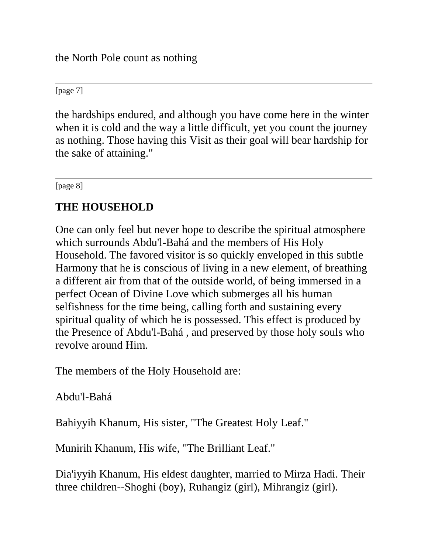the North Pole count as nothing

[page 7]

the hardships endured, and although you have come here in the winter when it is cold and the way a little difficult, yet you count the journey as nothing. Those having this Visit as their goal will bear hardship for the sake of attaining."

[page 8]

#### **THE HOUSEHOLD**

One can only feel but never hope to describe the spiritual atmosphere which surrounds Abdu'l-Bahá and the members of His Holy Household. The favored visitor is so quickly enveloped in this subtle Harmony that he is conscious of living in a new element, of breathing a different air from that of the outside world, of being immersed in a perfect Ocean of Divine Love which submerges all his human selfishness for the time being, calling forth and sustaining every spiritual quality of which he is possessed. This effect is produced by the Presence of Abdu'l-Bahá , and preserved by those holy souls who revolve around Him.

The members of the Holy Household are:

Abdu'l-Bahá

Bahiyyih Khanum, His sister, "The Greatest Holy Leaf."

Munirih Khanum, His wife, "The Brilliant Leaf."

Dia'iyyih Khanum, His eldest daughter, married to Mirza Hadi. Their three children--Shoghi (boy), Ruhangiz (girl), Mihrangiz (girl).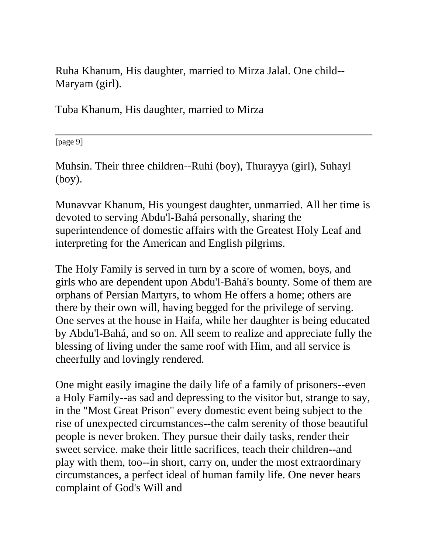Ruha Khanum, His daughter, married to Mirza Jalal. One child-- Maryam (girl).

Tuba Khanum, His daughter, married to Mirza

[page 9]

Muhsin. Their three children--Ruhi (boy), Thurayya (girl), Suhayl (boy).

Munavvar Khanum, His youngest daughter, unmarried. All her time is devoted to serving Abdu'l-Bahá personally, sharing the superintendence of domestic affairs with the Greatest Holy Leaf and interpreting for the American and English pilgrims.

The Holy Family is served in turn by a score of women, boys, and girls who are dependent upon Abdu'l-Bahá's bounty. Some of them are orphans of Persian Martyrs, to whom He offers a home; others are there by their own will, having begged for the privilege of serving. One serves at the house in Haifa, while her daughter is being educated by Abdu'l-Bahá, and so on. All seem to realize and appreciate fully the blessing of living under the same roof with Him, and all service is cheerfully and lovingly rendered.

One might easily imagine the daily life of a family of prisoners--even a Holy Family--as sad and depressing to the visitor but, strange to say, in the "Most Great Prison" every domestic event being subject to the rise of unexpected circumstances--the calm serenity of those beautiful people is never broken. They pursue their daily tasks, render their sweet service. make their little sacrifices, teach their children--and play with them, too--in short, carry on, under the most extraordinary circumstances, a perfect ideal of human family life. One never hears complaint of God's Will and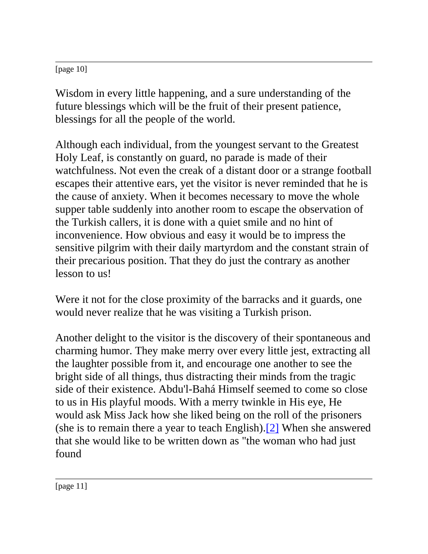[page 10]

Wisdom in every little happening, and a sure understanding of the future blessings which will be the fruit of their present patience, blessings for all the people of the world.

Although each individual, from the youngest servant to the Greatest Holy Leaf, is constantly on guard, no parade is made of their watchfulness. Not even the creak of a distant door or a strange football escapes their attentive ears, yet the visitor is never reminded that he is the cause of anxiety. When it becomes necessary to move the whole supper table suddenly into another room to escape the observation of the Turkish callers, it is done with a quiet smile and no hint of inconvenience. How obvious and easy it would be to impress the sensitive pilgrim with their daily martyrdom and the constant strain of their precarious position. That they do just the contrary as another lesson to us!

Were it not for the close proximity of the barracks and it guards, one would never realize that he was visiting a Turkish prison.

Another delight to the visitor is the discovery of their spontaneous and charming humor. They make merry over every little jest, extracting all the laughter possible from it, and encourage one another to see the bright side of all things, thus distracting their minds from the tragic side of their existence. Abdu'l-Bahá Himself seemed to come so close to us in His playful moods. With a merry twinkle in His eye, He would ask Miss Jack how she liked being on the roll of the prisoners (she is to remain there a year to teach English)[.\[2\]](http://bahai-library.com/goodall_cooper_daily_lessons#fn2) When she answered that she would like to be written down as "the woman who had just found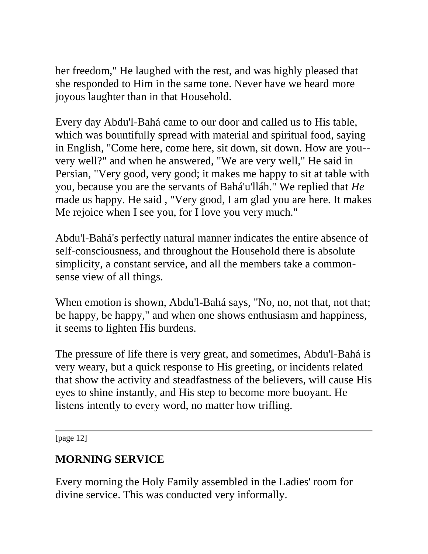her freedom," He laughed with the rest, and was highly pleased that she responded to Him in the same tone. Never have we heard more joyous laughter than in that Household.

Every day Abdu'l-Bahá came to our door and called us to His table, which was bountifully spread with material and spiritual food, saying in English, "Come here, come here, sit down, sit down. How are you- very well?" and when he answered, "We are very well," He said in Persian, "Very good, very good; it makes me happy to sit at table with you, because you are the servants of Bahá'u'lláh." We replied that *He* made us happy. He said , "Very good, I am glad you are here. It makes Me rejoice when I see you, for I love you very much."

Abdu'l-Bahá's perfectly natural manner indicates the entire absence of self-consciousness, and throughout the Household there is absolute simplicity, a constant service, and all the members take a commonsense view of all things.

When emotion is shown, Abdu'l-Bahá says, "No, no, not that, not that; be happy, be happy," and when one shows enthusiasm and happiness, it seems to lighten His burdens.

The pressure of life there is very great, and sometimes, Abdu'l-Bahá is very weary, but a quick response to His greeting, or incidents related that show the activity and steadfastness of the believers, will cause His eyes to shine instantly, and His step to become more buoyant. He listens intently to every word, no matter how trifling.

[page 12]

# **MORNING SERVICE**

Every morning the Holy Family assembled in the Ladies' room for divine service. This was conducted very informally.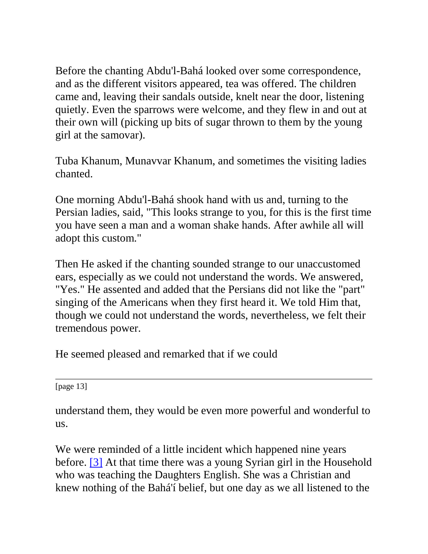Before the chanting Abdu'l-Bahá looked over some correspondence, and as the different visitors appeared, tea was offered. The children came and, leaving their sandals outside, knelt near the door, listening quietly. Even the sparrows were welcome, and they flew in and out at their own will (picking up bits of sugar thrown to them by the young girl at the samovar).

Tuba Khanum, Munavvar Khanum, and sometimes the visiting ladies chanted.

One morning Abdu'l-Bahá shook hand with us and, turning to the Persian ladies, said, "This looks strange to you, for this is the first time you have seen a man and a woman shake hands. After awhile all will adopt this custom."

Then He asked if the chanting sounded strange to our unaccustomed ears, especially as we could not understand the words. We answered, "Yes." He assented and added that the Persians did not like the "part" singing of the Americans when they first heard it. We told Him that, though we could not understand the words, nevertheless, we felt their tremendous power.

He seemed pleased and remarked that if we could

[page 13]

understand them, they would be even more powerful and wonderful to us.

We were reminded of a little incident which happened nine years before. [\[3\]](http://bahai-library.com/goodall_cooper_daily_lessons#fn3) At that time there was a young Syrian girl in the Household who was teaching the Daughters English. She was a Christian and knew nothing of the Bahá'í belief, but one day as we all listened to the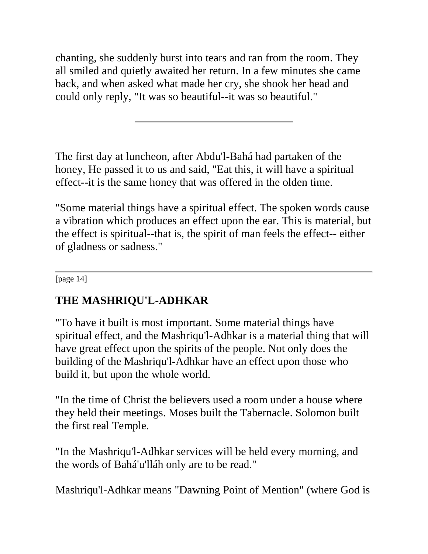chanting, she suddenly burst into tears and ran from the room. They all smiled and quietly awaited her return. In a few minutes she came back, and when asked what made her cry, she shook her head and could only reply, "It was so beautiful--it was so beautiful."

The first day at luncheon, after Abdu'l-Bahá had partaken of the honey, He passed it to us and said, "Eat this, it will have a spiritual effect--it is the same honey that was offered in the olden time.

"Some material things have a spiritual effect. The spoken words cause a vibration which produces an effect upon the ear. This is material, but the effect is spiritual--that is, the spirit of man feels the effect-- either of gladness or sadness."

[page 14]

# **THE MASHRIQU'L-ADHKAR**

"To have it built is most important. Some material things have spiritual effect, and the Mashriqu'l-Adhkar is a material thing that will have great effect upon the spirits of the people. Not only does the building of the Mashriqu'l-Adhkar have an effect upon those who build it, but upon the whole world.

"In the time of Christ the believers used a room under a house where they held their meetings. Moses built the Tabernacle. Solomon built the first real Temple.

"In the Mashriqu'l-Adhkar services will be held every morning, and the words of Bahá'u'lláh only are to be read."

Mashriqu'l-Adhkar means "Dawning Point of Mention" (where God is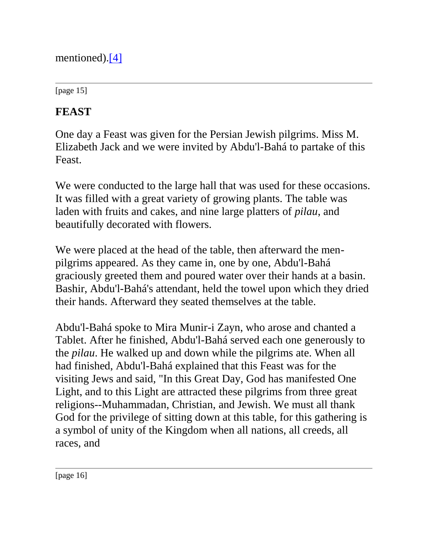mentioned)[.\[4\]](http://bahai-library.com/goodall_cooper_daily_lessons#fn4)

[page 15]

# **FEAST**

One day a Feast was given for the Persian Jewish pilgrims. Miss M. Elizabeth Jack and we were invited by Abdu'l-Bahá to partake of this Feast.

We were conducted to the large hall that was used for these occasions. It was filled with a great variety of growing plants. The table was laden with fruits and cakes, and nine large platters of *pilau*, and beautifully decorated with flowers.

We were placed at the head of the table, then afterward the menpilgrims appeared. As they came in, one by one, Abdu'l-Bahá graciously greeted them and poured water over their hands at a basin. Bashir, Abdu'l-Bahá's attendant, held the towel upon which they dried their hands. Afterward they seated themselves at the table.

Abdu'l-Bahá spoke to Mira Munir-i Zayn, who arose and chanted a Tablet. After he finished, Abdu'l-Bahá served each one generously to the *pilau*. He walked up and down while the pilgrims ate. When all had finished, Abdu'l-Bahá explained that this Feast was for the visiting Jews and said, "In this Great Day, God has manifested One Light, and to this Light are attracted these pilgrims from three great religions--Muhammadan, Christian, and Jewish. We must all thank God for the privilege of sitting down at this table, for this gathering is a symbol of unity of the Kingdom when all nations, all creeds, all races, and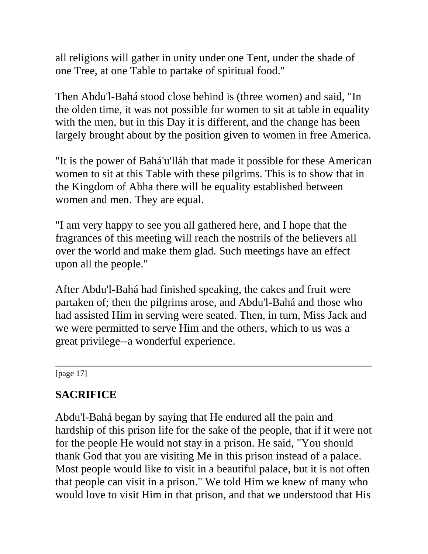all religions will gather in unity under one Tent, under the shade of one Tree, at one Table to partake of spiritual food."

Then Abdu'l-Bahá stood close behind is (three women) and said, "In the olden time, it was not possible for women to sit at table in equality with the men, but in this Day it is different, and the change has been largely brought about by the position given to women in free America.

"It is the power of Bahá'u'lláh that made it possible for these American women to sit at this Table with these pilgrims. This is to show that in the Kingdom of Abha there will be equality established between women and men. They are equal.

"I am very happy to see you all gathered here, and I hope that the fragrances of this meeting will reach the nostrils of the believers all over the world and make them glad. Such meetings have an effect upon all the people."

After Abdu'l-Bahá had finished speaking, the cakes and fruit were partaken of; then the pilgrims arose, and Abdu'l-Bahá and those who had assisted Him in serving were seated. Then, in turn, Miss Jack and we were permitted to serve Him and the others, which to us was a great privilege--a wonderful experience.

[page 17]

# **SACRIFICE**

Abdu'l-Bahá began by saying that He endured all the pain and hardship of this prison life for the sake of the people, that if it were not for the people He would not stay in a prison. He said, "You should thank God that you are visiting Me in this prison instead of a palace. Most people would like to visit in a beautiful palace, but it is not often that people can visit in a prison." We told Him we knew of many who would love to visit Him in that prison, and that we understood that His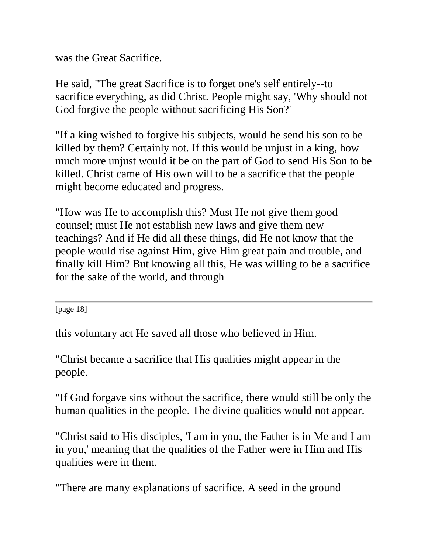was the Great Sacrifice.

He said, "The great Sacrifice is to forget one's self entirely--to sacrifice everything, as did Christ. People might say, 'Why should not God forgive the people without sacrificing His Son?'

"If a king wished to forgive his subjects, would he send his son to be killed by them? Certainly not. If this would be unjust in a king, how much more unjust would it be on the part of God to send His Son to be killed. Christ came of His own will to be a sacrifice that the people might become educated and progress.

"How was He to accomplish this? Must He not give them good counsel; must He not establish new laws and give them new teachings? And if He did all these things, did He not know that the people would rise against Him, give Him great pain and trouble, and finally kill Him? But knowing all this, He was willing to be a sacrifice for the sake of the world, and through

[page 18]

this voluntary act He saved all those who believed in Him.

"Christ became a sacrifice that His qualities might appear in the people.

"If God forgave sins without the sacrifice, there would still be only the human qualities in the people. The divine qualities would not appear.

"Christ said to His disciples, 'I am in you, the Father is in Me and I am in you,' meaning that the qualities of the Father were in Him and His qualities were in them.

"There are many explanations of sacrifice. A seed in the ground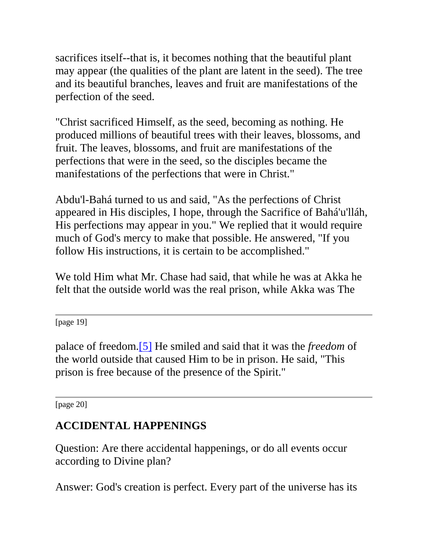sacrifices itself--that is, it becomes nothing that the beautiful plant may appear (the qualities of the plant are latent in the seed). The tree and its beautiful branches, leaves and fruit are manifestations of the perfection of the seed.

"Christ sacrificed Himself, as the seed, becoming as nothing. He produced millions of beautiful trees with their leaves, blossoms, and fruit. The leaves, blossoms, and fruit are manifestations of the perfections that were in the seed, so the disciples became the manifestations of the perfections that were in Christ."

Abdu'l-Bahá turned to us and said, "As the perfections of Christ appeared in His disciples, I hope, through the Sacrifice of Bahá'u'lláh, His perfections may appear in you." We replied that it would require much of God's mercy to make that possible. He answered, "If you follow His instructions, it is certain to be accomplished."

We told Him what Mr. Chase had said, that while he was at Akka he felt that the outside world was the real prison, while Akka was The

[page 19]

palace of freedom[.\[5\]](http://bahai-library.com/goodall_cooper_daily_lessons#fn5) He smiled and said that it was the *freedom* of the world outside that caused Him to be in prison. He said, "This prison is free because of the presence of the Spirit."

[page 20]

## **ACCIDENTAL HAPPENINGS**

Question: Are there accidental happenings, or do all events occur according to Divine plan?

Answer: God's creation is perfect. Every part of the universe has its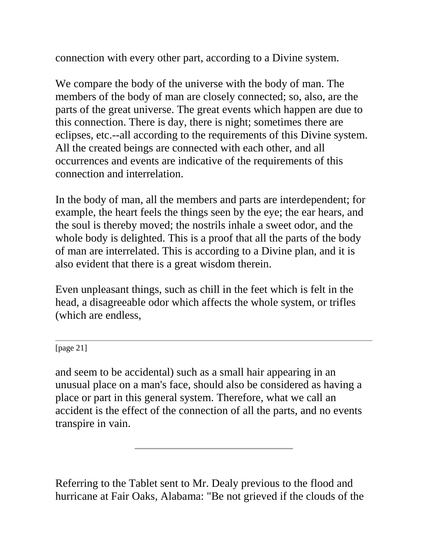connection with every other part, according to a Divine system.

We compare the body of the universe with the body of man. The members of the body of man are closely connected; so, also, are the parts of the great universe. The great events which happen are due to this connection. There is day, there is night; sometimes there are eclipses, etc.--all according to the requirements of this Divine system. All the created beings are connected with each other, and all occurrences and events are indicative of the requirements of this connection and interrelation.

In the body of man, all the members and parts are interdependent; for example, the heart feels the things seen by the eye; the ear hears, and the soul is thereby moved; the nostrils inhale a sweet odor, and the whole body is delighted. This is a proof that all the parts of the body of man are interrelated. This is according to a Divine plan, and it is also evident that there is a great wisdom therein.

Even unpleasant things, such as chill in the feet which is felt in the head, a disagreeable odor which affects the whole system, or trifles (which are endless,

[page 21]

and seem to be accidental) such as a small hair appearing in an unusual place on a man's face, should also be considered as having a place or part in this general system. Therefore, what we call an accident is the effect of the connection of all the parts, and no events transpire in vain.

Referring to the Tablet sent to Mr. Dealy previous to the flood and hurricane at Fair Oaks, Alabama: "Be not grieved if the clouds of the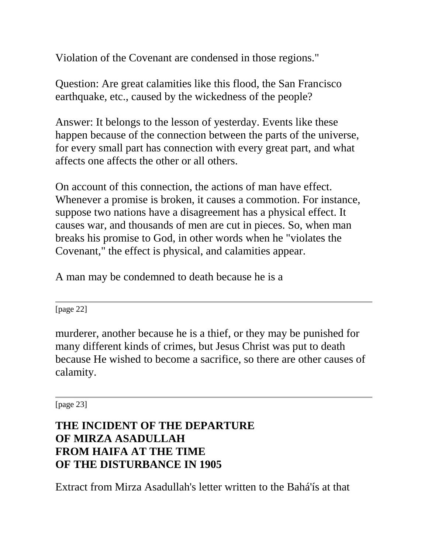Violation of the Covenant are condensed in those regions."

Question: Are great calamities like this flood, the San Francisco earthquake, etc., caused by the wickedness of the people?

Answer: It belongs to the lesson of yesterday. Events like these happen because of the connection between the parts of the universe, for every small part has connection with every great part, and what affects one affects the other or all others.

On account of this connection, the actions of man have effect. Whenever a promise is broken, it causes a commotion. For instance, suppose two nations have a disagreement has a physical effect. It causes war, and thousands of men are cut in pieces. So, when man breaks his promise to God, in other words when he "violates the Covenant," the effect is physical, and calamities appear.

A man may be condemned to death because he is a

[page 22]

murderer, another because he is a thief, or they may be punished for many different kinds of crimes, but Jesus Christ was put to death because He wished to become a sacrifice, so there are other causes of calamity.

[page 23]

# **THE INCIDENT OF THE DEPARTURE OF MIRZA ASADULLAH FROM HAIFA AT THE TIME OF THE DISTURBANCE IN 1905**

Extract from Mirza Asadullah's letter written to the Bahá'ís at that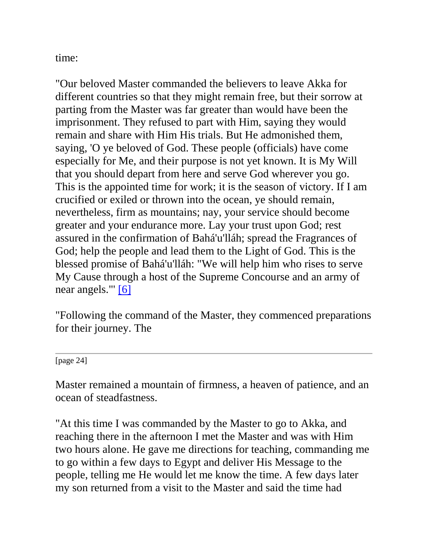time:

"Our beloved Master commanded the believers to leave Akka for different countries so that they might remain free, but their sorrow at parting from the Master was far greater than would have been the imprisonment. They refused to part with Him, saying they would remain and share with Him His trials. But He admonished them, saying, 'O ye beloved of God. These people (officials) have come especially for Me, and their purpose is not yet known. It is My Will that you should depart from here and serve God wherever you go. This is the appointed time for work; it is the season of victory. If I am crucified or exiled or thrown into the ocean, ye should remain, nevertheless, firm as mountains; nay, your service should become greater and your endurance more. Lay your trust upon God; rest assured in the confirmation of Bahá'u'lláh; spread the Fragrances of God; help the people and lead them to the Light of God. This is the blessed promise of Bahá'u'lláh: "We will help him who rises to serve My Cause through a host of the Supreme Concourse and an army of near angels."' [\[6\]](http://bahai-library.com/goodall_cooper_daily_lessons#fn6)

"Following the command of the Master, they commenced preparations for their journey. The

[page 24]

Master remained a mountain of firmness, a heaven of patience, and an ocean of steadfastness.

"At this time I was commanded by the Master to go to Akka, and reaching there in the afternoon I met the Master and was with Him two hours alone. He gave me directions for teaching, commanding me to go within a few days to Egypt and deliver His Message to the people, telling me He would let me know the time. A few days later my son returned from a visit to the Master and said the time had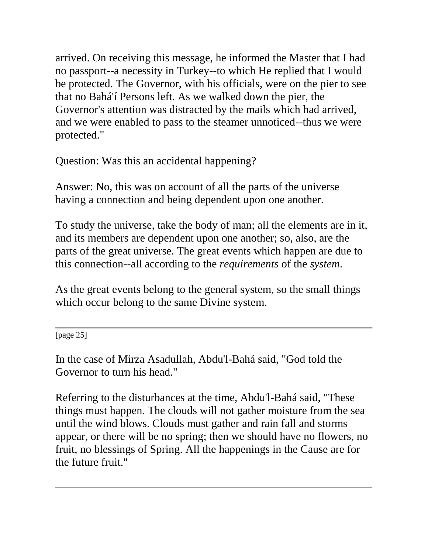arrived. On receiving this message, he informed the Master that I had no passport--a necessity in Turkey--to which He replied that I would be protected. The Governor, with his officials, were on the pier to see that no Bahá'í Persons left. As we walked down the pier, the Governor's attention was distracted by the mails which had arrived, and we were enabled to pass to the steamer unnoticed--thus we were protected."

Question: Was this an accidental happening?

Answer: No, this was on account of all the parts of the universe having a connection and being dependent upon one another.

To study the universe, take the body of man; all the elements are in it, and its members are dependent upon one another; so, also, are the parts of the great universe. The great events which happen are due to this connection--all according to the *requirements* of the *system*.

As the great events belong to the general system, so the small things which occur belong to the same Divine system.

[page 25]

In the case of Mirza Asadullah, Abdu'l-Bahá said, "God told the Governor to turn his head."

Referring to the disturbances at the time, Abdu'l-Bahá said, "These things must happen. The clouds will not gather moisture from the sea until the wind blows. Clouds must gather and rain fall and storms appear, or there will be no spring; then we should have no flowers, no fruit, no blessings of Spring. All the happenings in the Cause are for the future fruit."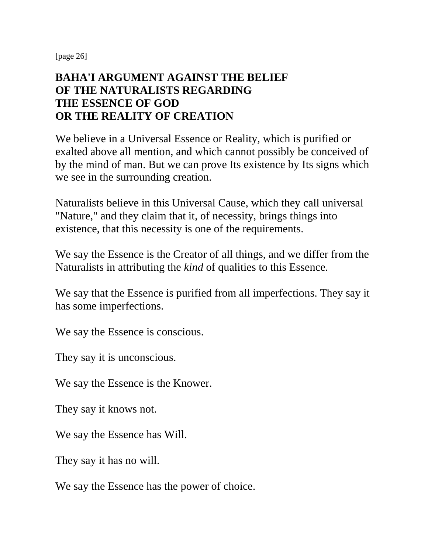[page 26]

#### **BAHA'I ARGUMENT AGAINST THE BELIEF OF THE NATURALISTS REGARDING THE ESSENCE OF GOD OR THE REALITY OF CREATION**

We believe in a Universal Essence or Reality, which is purified or exalted above all mention, and which cannot possibly be conceived of by the mind of man. But we can prove Its existence by Its signs which we see in the surrounding creation.

Naturalists believe in this Universal Cause, which they call universal "Nature," and they claim that it, of necessity, brings things into existence, that this necessity is one of the requirements.

We say the Essence is the Creator of all things, and we differ from the Naturalists in attributing the *kind* of qualities to this Essence.

We say that the Essence is purified from all imperfections. They say it has some imperfections.

We say the Essence is conscious.

They say it is unconscious.

We say the Essence is the Knower.

They say it knows not.

We say the Essence has Will.

They say it has no will.

We say the Essence has the power of choice.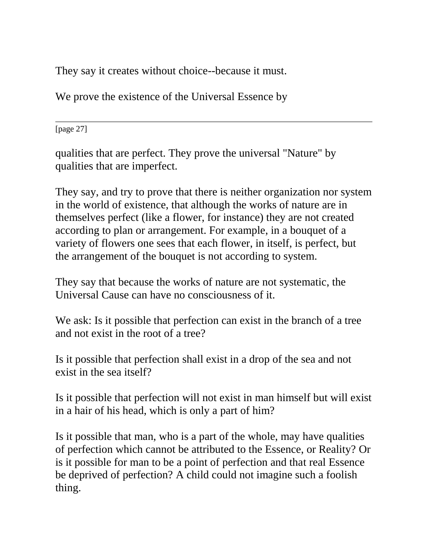They say it creates without choice--because it must.

We prove the existence of the Universal Essence by

[page 27]

qualities that are perfect. They prove the universal "Nature" by qualities that are imperfect.

They say, and try to prove that there is neither organization nor system in the world of existence, that although the works of nature are in themselves perfect (like a flower, for instance) they are not created according to plan or arrangement. For example, in a bouquet of a variety of flowers one sees that each flower, in itself, is perfect, but the arrangement of the bouquet is not according to system.

They say that because the works of nature are not systematic, the Universal Cause can have no consciousness of it.

We ask: Is it possible that perfection can exist in the branch of a tree and not exist in the root of a tree?

Is it possible that perfection shall exist in a drop of the sea and not exist in the sea itself?

Is it possible that perfection will not exist in man himself but will exist in a hair of his head, which is only a part of him?

Is it possible that man, who is a part of the whole, may have qualities of perfection which cannot be attributed to the Essence, or Reality? Or is it possible for man to be a point of perfection and that real Essence be deprived of perfection? A child could not imagine such a foolish thing.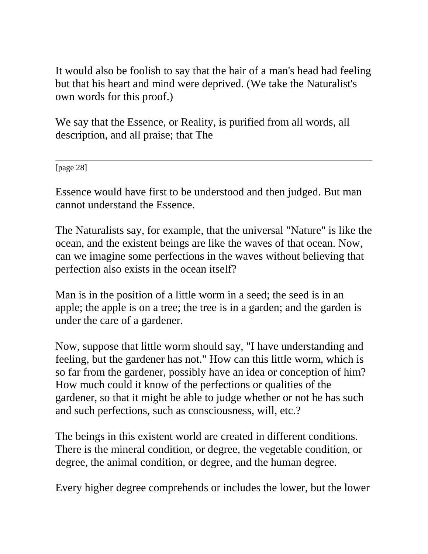It would also be foolish to say that the hair of a man's head had feeling but that his heart and mind were deprived. (We take the Naturalist's own words for this proof.)

We say that the Essence, or Reality, is purified from all words, all description, and all praise; that The

[page 28]

Essence would have first to be understood and then judged. But man cannot understand the Essence.

The Naturalists say, for example, that the universal "Nature" is like the ocean, and the existent beings are like the waves of that ocean. Now, can we imagine some perfections in the waves without believing that perfection also exists in the ocean itself?

Man is in the position of a little worm in a seed; the seed is in an apple; the apple is on a tree; the tree is in a garden; and the garden is under the care of a gardener.

Now, suppose that little worm should say, "I have understanding and feeling, but the gardener has not." How can this little worm, which is so far from the gardener, possibly have an idea or conception of him? How much could it know of the perfections or qualities of the gardener, so that it might be able to judge whether or not he has such and such perfections, such as consciousness, will, etc.?

The beings in this existent world are created in different conditions. There is the mineral condition, or degree, the vegetable condition, or degree, the animal condition, or degree, and the human degree.

Every higher degree comprehends or includes the lower, but the lower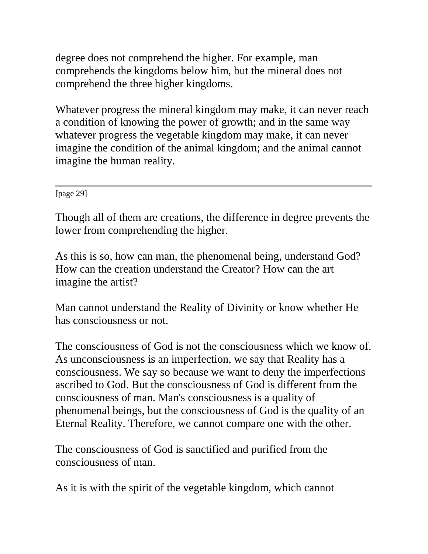degree does not comprehend the higher. For example, man comprehends the kingdoms below him, but the mineral does not comprehend the three higher kingdoms.

Whatever progress the mineral kingdom may make, it can never reach a condition of knowing the power of growth; and in the same way whatever progress the vegetable kingdom may make, it can never imagine the condition of the animal kingdom; and the animal cannot imagine the human reality.

[page 29]

Though all of them are creations, the difference in degree prevents the lower from comprehending the higher.

As this is so, how can man, the phenomenal being, understand God? How can the creation understand the Creator? How can the art imagine the artist?

Man cannot understand the Reality of Divinity or know whether He has consciousness or not.

The consciousness of God is not the consciousness which we know of. As unconsciousness is an imperfection, we say that Reality has a consciousness. We say so because we want to deny the imperfections ascribed to God. But the consciousness of God is different from the consciousness of man. Man's consciousness is a quality of phenomenal beings, but the consciousness of God is the quality of an Eternal Reality. Therefore, we cannot compare one with the other.

The consciousness of God is sanctified and purified from the consciousness of man.

As it is with the spirit of the vegetable kingdom, which cannot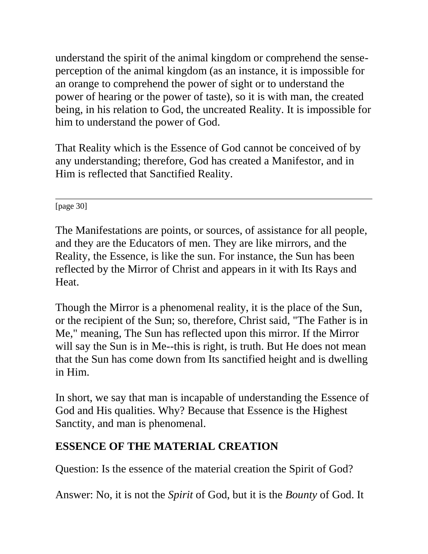understand the spirit of the animal kingdom or comprehend the senseperception of the animal kingdom (as an instance, it is impossible for an orange to comprehend the power of sight or to understand the power of hearing or the power of taste), so it is with man, the created being, in his relation to God, the uncreated Reality. It is impossible for him to understand the power of God.

That Reality which is the Essence of God cannot be conceived of by any understanding; therefore, God has created a Manifestor, and in Him is reflected that Sanctified Reality.

[page 30]

The Manifestations are points, or sources, of assistance for all people, and they are the Educators of men. They are like mirrors, and the Reality, the Essence, is like the sun. For instance, the Sun has been reflected by the Mirror of Christ and appears in it with Its Rays and Heat.

Though the Mirror is a phenomenal reality, it is the place of the Sun, or the recipient of the Sun; so, therefore, Christ said, "The Father is in Me," meaning, The Sun has reflected upon this mirror. If the Mirror will say the Sun is in Me--this is right, is truth. But He does not mean that the Sun has come down from Its sanctified height and is dwelling in Him.

In short, we say that man is incapable of understanding the Essence of God and His qualities. Why? Because that Essence is the Highest Sanctity, and man is phenomenal.

## **ESSENCE OF THE MATERIAL CREATION**

Question: Is the essence of the material creation the Spirit of God?

Answer: No, it is not the *Spirit* of God, but it is the *Bounty* of God. It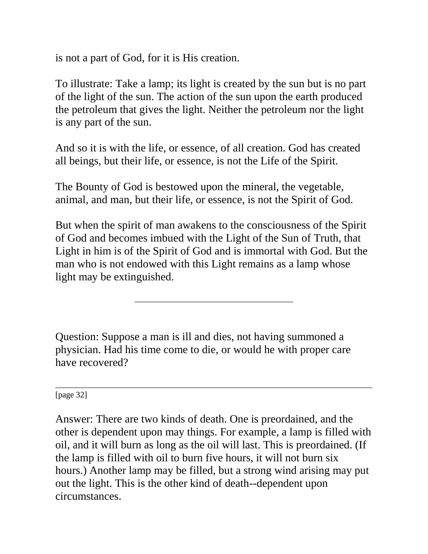is not a part of God, for it is His creation.

To illustrate: Take a lamp; its light is created by the sun but is no part of the light of the sun. The action of the sun upon the earth produced the petroleum that gives the light. Neither the petroleum nor the light is any part of the sun.

And so it is with the life, or essence, of all creation. God has created all beings, but their life, or essence, is not the Life of the Spirit.

The Bounty of God is bestowed upon the mineral, the vegetable, animal, and man, but their life, or essence, is not the Spirit of God.

But when the spirit of man awakens to the consciousness of the Spirit of God and becomes imbued with the Light of the Sun of Truth, that Light in him is of the Spirit of God and is immortal with God. But the man who is not endowed with this Light remains as a lamp whose light may be extinguished.

Question: Suppose a man is ill and dies, not having summoned a physician. Had his time come to die, or would he with proper care have recovered?

[page 32]

Answer: There are two kinds of death. One is preordained, and the other is dependent upon may things. For example, a lamp is filled with oil, and it will burn as long as the oil will last. This is preordained. (If the lamp is filled with oil to burn five hours, it will not burn six hours.) Another lamp may be filled, but a strong wind arising may put out the light. This is the other kind of death--dependent upon circumstances.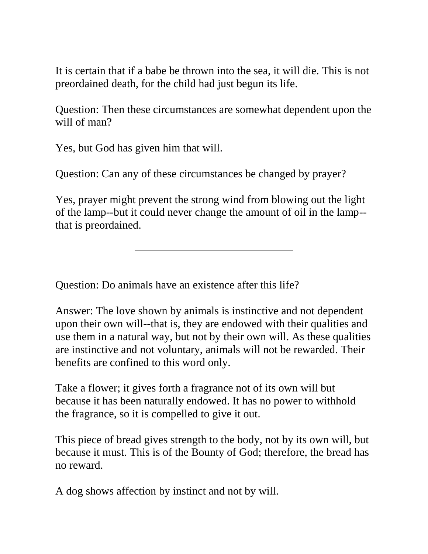It is certain that if a babe be thrown into the sea, it will die. This is not preordained death, for the child had just begun its life.

Question: Then these circumstances are somewhat dependent upon the will of man?

Yes, but God has given him that will.

Question: Can any of these circumstances be changed by prayer?

Yes, prayer might prevent the strong wind from blowing out the light of the lamp--but it could never change the amount of oil in the lamp- that is preordained.

Question: Do animals have an existence after this life?

Answer: The love shown by animals is instinctive and not dependent upon their own will--that is, they are endowed with their qualities and use them in a natural way, but not by their own will. As these qualities are instinctive and not voluntary, animals will not be rewarded. Their benefits are confined to this word only.

Take a flower; it gives forth a fragrance not of its own will but because it has been naturally endowed. It has no power to withhold the fragrance, so it is compelled to give it out.

This piece of bread gives strength to the body, not by its own will, but because it must. This is of the Bounty of God; therefore, the bread has no reward.

A dog shows affection by instinct and not by will.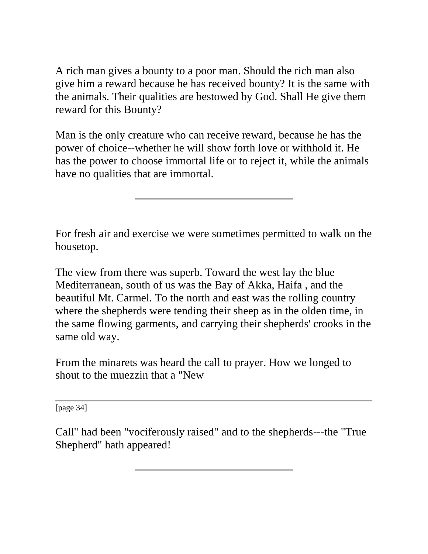A rich man gives a bounty to a poor man. Should the rich man also give him a reward because he has received bounty? It is the same with the animals. Their qualities are bestowed by God. Shall He give them reward for this Bounty?

Man is the only creature who can receive reward, because he has the power of choice--whether he will show forth love or withhold it. He has the power to choose immortal life or to reject it, while the animals have no qualities that are immortal.

For fresh air and exercise we were sometimes permitted to walk on the housetop.

The view from there was superb. Toward the west lay the blue Mediterranean, south of us was the Bay of Akka, Haifa , and the beautiful Mt. Carmel. To the north and east was the rolling country where the shepherds were tending their sheep as in the olden time, in the same flowing garments, and carrying their shepherds' crooks in the same old way.

From the minarets was heard the call to prayer. How we longed to shout to the muezzin that a "New

[page 34]

Call" had been "vociferously raised" and to the shepherds---the "True Shepherd" hath appeared!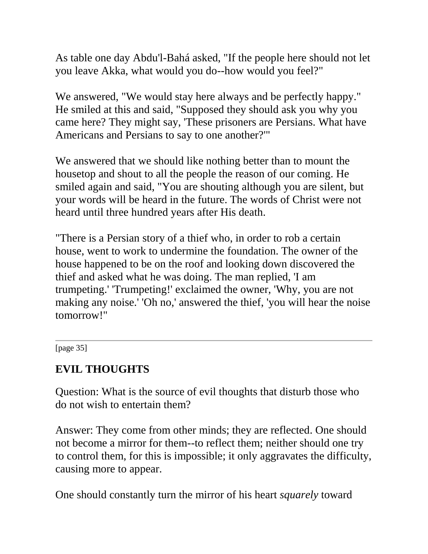As table one day Abdu'l-Bahá asked, "If the people here should not let you leave Akka, what would you do--how would you feel?"

We answered, "We would stay here always and be perfectly happy." He smiled at this and said, "Supposed they should ask you why you came here? They might say, 'These prisoners are Persians. What have Americans and Persians to say to one another?'"

We answered that we should like nothing better than to mount the housetop and shout to all the people the reason of our coming. He smiled again and said, "You are shouting although you are silent, but your words will be heard in the future. The words of Christ were not heard until three hundred years after His death.

"There is a Persian story of a thief who, in order to rob a certain house, went to work to undermine the foundation. The owner of the house happened to be on the roof and looking down discovered the thief and asked what he was doing. The man replied, 'I am trumpeting.' 'Trumpeting!' exclaimed the owner, 'Why, you are not making any noise.' 'Oh no,' answered the thief, 'you will hear the noise tomorrow!"

[page 35]

## **EVIL THOUGHTS**

Question: What is the source of evil thoughts that disturb those who do not wish to entertain them?

Answer: They come from other minds; they are reflected. One should not become a mirror for them--to reflect them; neither should one try to control them, for this is impossible; it only aggravates the difficulty, causing more to appear.

One should constantly turn the mirror of his heart *squarely* toward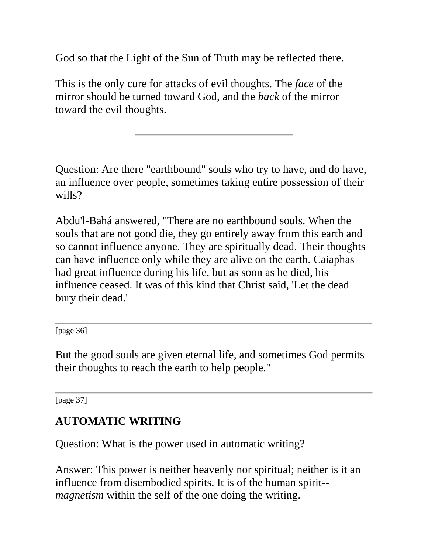God so that the Light of the Sun of Truth may be reflected there.

This is the only cure for attacks of evil thoughts. The *face* of the mirror should be turned toward God, and the *back* of the mirror toward the evil thoughts.

Question: Are there "earthbound" souls who try to have, and do have, an influence over people, sometimes taking entire possession of their wills?

Abdu'l-Bahá answered, "There are no earthbound souls. When the souls that are not good die, they go entirely away from this earth and so cannot influence anyone. They are spiritually dead. Their thoughts can have influence only while they are alive on the earth. Caiaphas had great influence during his life, but as soon as he died, his influence ceased. It was of this kind that Christ said, 'Let the dead bury their dead.'

[page 36]

But the good souls are given eternal life, and sometimes God permits their thoughts to reach the earth to help people."

[page 37]

# **AUTOMATIC WRITING**

Question: What is the power used in automatic writing?

Answer: This power is neither heavenly nor spiritual; neither is it an influence from disembodied spirits. It is of the human spirit- *magnetism* within the self of the one doing the writing.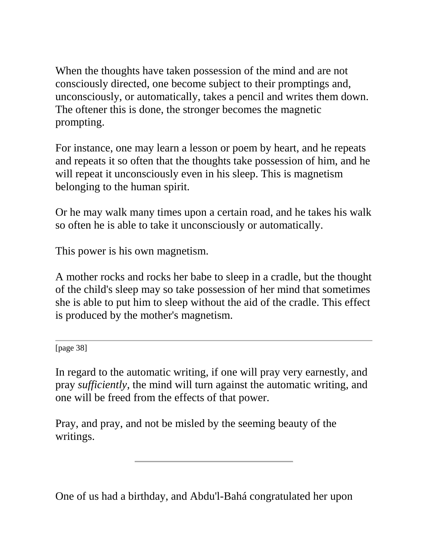When the thoughts have taken possession of the mind and are not consciously directed, one become subject to their promptings and, unconsciously, or automatically, takes a pencil and writes them down. The oftener this is done, the stronger becomes the magnetic prompting.

For instance, one may learn a lesson or poem by heart, and he repeats and repeats it so often that the thoughts take possession of him, and he will repeat it unconsciously even in his sleep. This is magnetism belonging to the human spirit.

Or he may walk many times upon a certain road, and he takes his walk so often he is able to take it unconsciously or automatically.

This power is his own magnetism.

A mother rocks and rocks her babe to sleep in a cradle, but the thought of the child's sleep may so take possession of her mind that sometimes she is able to put him to sleep without the aid of the cradle. This effect is produced by the mother's magnetism.

[page 38]

In regard to the automatic writing, if one will pray very earnestly, and pray *sufficiently*, the mind will turn against the automatic writing, and one will be freed from the effects of that power.

Pray, and pray, and not be misled by the seeming beauty of the writings.

One of us had a birthday, and Abdu'l-Bahá congratulated her upon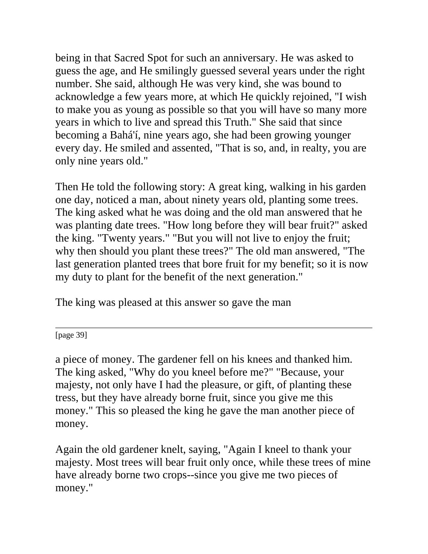being in that Sacred Spot for such an anniversary. He was asked to guess the age, and He smilingly guessed several years under the right number. She said, although He was very kind, she was bound to acknowledge a few years more, at which He quickly rejoined, "I wish to make you as young as possible so that you will have so many more years in which to live and spread this Truth." She said that since becoming a Bahá'í, nine years ago, she had been growing younger every day. He smiled and assented, "That is so, and, in realty, you are only nine years old."

Then He told the following story: A great king, walking in his garden one day, noticed a man, about ninety years old, planting some trees. The king asked what he was doing and the old man answered that he was planting date trees. "How long before they will bear fruit?" asked the king. "Twenty years." "But you will not live to enjoy the fruit; why then should you plant these trees?" The old man answered, "The last generation planted trees that bore fruit for my benefit; so it is now my duty to plant for the benefit of the next generation."

The king was pleased at this answer so gave the man

[page 39]

a piece of money. The gardener fell on his knees and thanked him. The king asked, "Why do you kneel before me?" "Because, your majesty, not only have I had the pleasure, or gift, of planting these tress, but they have already borne fruit, since you give me this money." This so pleased the king he gave the man another piece of money.

Again the old gardener knelt, saying, "Again I kneel to thank your majesty. Most trees will bear fruit only once, while these trees of mine have already borne two crops--since you give me two pieces of money."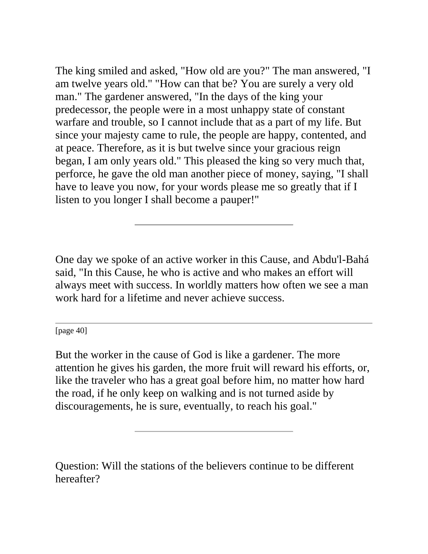The king smiled and asked, "How old are you?" The man answered, "I am twelve years old." "How can that be? You are surely a very old man." The gardener answered, "In the days of the king your predecessor, the people were in a most unhappy state of constant warfare and trouble, so I cannot include that as a part of my life. But since your majesty came to rule, the people are happy, contented, and at peace. Therefore, as it is but twelve since your gracious reign began, I am only years old." This pleased the king so very much that, perforce, he gave the old man another piece of money, saying, "I shall have to leave you now, for your words please me so greatly that if I listen to you longer I shall become a pauper!"

One day we spoke of an active worker in this Cause, and Abdu'l-Bahá said, "In this Cause, he who is active and who makes an effort will always meet with success. In worldly matters how often we see a man work hard for a lifetime and never achieve success.

[page 40]

But the worker in the cause of God is like a gardener. The more attention he gives his garden, the more fruit will reward his efforts, or, like the traveler who has a great goal before him, no matter how hard the road, if he only keep on walking and is not turned aside by discouragements, he is sure, eventually, to reach his goal."

Question: Will the stations of the believers continue to be different hereafter?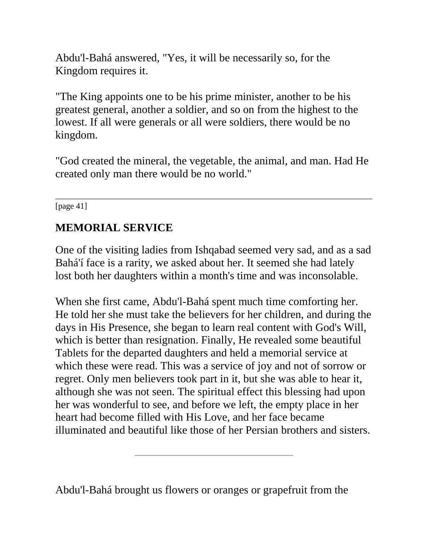Abdu'l-Bahá answered, "Yes, it will be necessarily so, for the Kingdom requires it.

"The King appoints one to be his prime minister, another to be his greatest general, another a soldier, and so on from the highest to the lowest. If all were generals or all were soldiers, there would be no kingdom.

"God created the mineral, the vegetable, the animal, and man. Had He created only man there would be no world."

[page 41]

## **MEMORIAL SERVICE**

One of the visiting ladies from Ishqabad seemed very sad, and as a sad Bahá'í face is a rarity, we asked about her. It seemed she had lately lost both her daughters within a month's time and was inconsolable.

When she first came, Abdu'l-Bahá spent much time comforting her. He told her she must take the believers for her children, and during the days in His Presence, she began to learn real content with God's Will, which is better than resignation. Finally, He revealed some beautiful Tablets for the departed daughters and held a memorial service at which these were read. This was a service of joy and not of sorrow or regret. Only men believers took part in it, but she was able to hear it, although she was not seen. The spiritual effect this blessing had upon her was wonderful to see, and before we left, the empty place in her heart had become filled with His Love, and her face became illuminated and beautiful like those of her Persian brothers and sisters.

Abdu'l-Bahá brought us flowers or oranges or grapefruit from the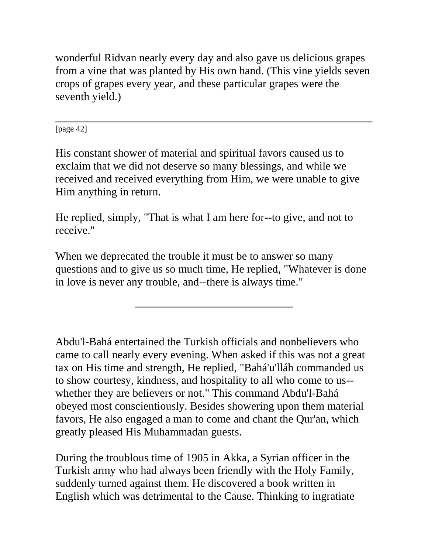wonderful Ridvan nearly every day and also gave us delicious grapes from a vine that was planted by His own hand. (This vine yields seven crops of grapes every year, and these particular grapes were the seventh yield.)

[page 42]

His constant shower of material and spiritual favors caused us to exclaim that we did not deserve so many blessings, and while we received and received everything from Him, we were unable to give Him anything in return.

He replied, simply, "That is what I am here for--to give, and not to receive."

When we deprecated the trouble it must be to answer so many questions and to give us so much time, He replied, "Whatever is done in love is never any trouble, and--there is always time."

Abdu'l-Bahá entertained the Turkish officials and nonbelievers who came to call nearly every evening. When asked if this was not a great tax on His time and strength, He replied, "Bahá'u'lláh commanded us to show courtesy, kindness, and hospitality to all who come to us- whether they are believers or not." This command Abdu'l-Bahá obeyed most conscientiously. Besides showering upon them material favors, He also engaged a man to come and chant the Qur'an, which greatly pleased His Muhammadan guests.

During the troublous time of 1905 in Akka, a Syrian officer in the Turkish army who had always been friendly with the Holy Family, suddenly turned against them. He discovered a book written in English which was detrimental to the Cause. Thinking to ingratiate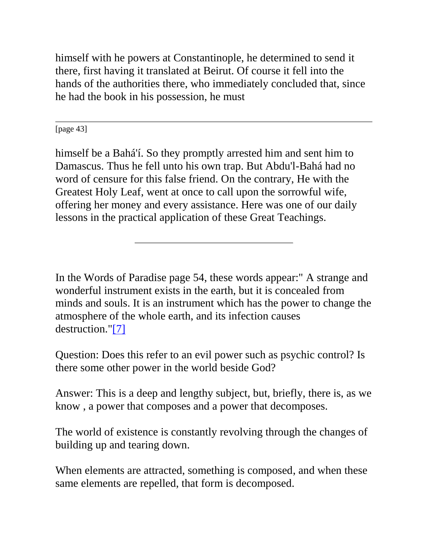himself with he powers at Constantinople, he determined to send it there, first having it translated at Beirut. Of course it fell into the hands of the authorities there, who immediately concluded that, since he had the book in his possession, he must

[page 43]

himself be a Bahá'í. So they promptly arrested him and sent him to Damascus. Thus he fell unto his own trap. But Abdu'l-Bahá had no word of censure for this false friend. On the contrary, He with the Greatest Holy Leaf, went at once to call upon the sorrowful wife, offering her money and every assistance. Here was one of our daily lessons in the practical application of these Great Teachings.

In the Words of Paradise page 54, these words appear:" A strange and wonderful instrument exists in the earth, but it is concealed from minds and souls. It is an instrument which has the power to change the atmosphere of the whole earth, and its infection causes destruction.["\[7\]](http://bahai-library.com/goodall_cooper_daily_lessons#fn7)

Question: Does this refer to an evil power such as psychic control? Is there some other power in the world beside God?

Answer: This is a deep and lengthy subject, but, briefly, there is, as we know , a power that composes and a power that decomposes.

The world of existence is constantly revolving through the changes of building up and tearing down.

When elements are attracted, something is composed, and when these same elements are repelled, that form is decomposed.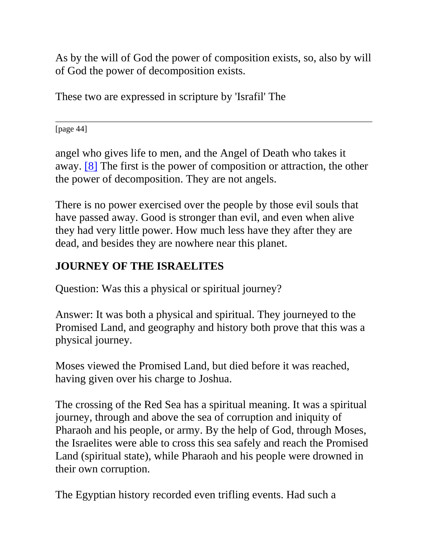As by the will of God the power of composition exists, so, also by will of God the power of decomposition exists.

These two are expressed in scripture by 'Israfil' The

[page 44]

angel who gives life to men, and the Angel of Death who takes it away. [\[8\]](http://bahai-library.com/goodall_cooper_daily_lessons#fn8) The first is the power of composition or attraction, the other the power of decomposition. They are not angels.

There is no power exercised over the people by those evil souls that have passed away. Good is stronger than evil, and even when alive they had very little power. How much less have they after they are dead, and besides they are nowhere near this planet.

## **JOURNEY OF THE ISRAELITES**

Question: Was this a physical or spiritual journey?

Answer: It was both a physical and spiritual. They journeyed to the Promised Land, and geography and history both prove that this was a physical journey.

Moses viewed the Promised Land, but died before it was reached, having given over his charge to Joshua.

The crossing of the Red Sea has a spiritual meaning. It was a spiritual journey, through and above the sea of corruption and iniquity of Pharaoh and his people, or army. By the help of God, through Moses, the Israelites were able to cross this sea safely and reach the Promised Land (spiritual state), while Pharaoh and his people were drowned in their own corruption.

The Egyptian history recorded even trifling events. Had such a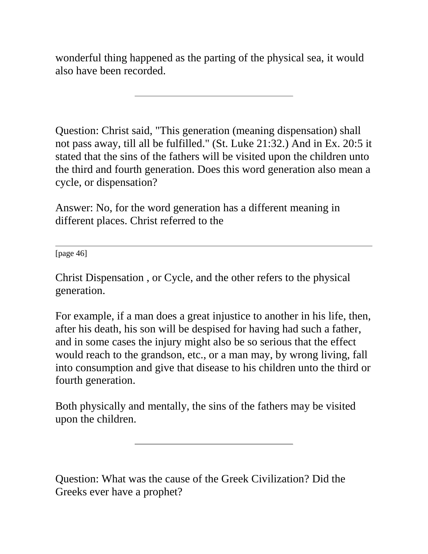wonderful thing happened as the parting of the physical sea, it would also have been recorded.

Question: Christ said, "This generation (meaning dispensation) shall not pass away, till all be fulfilled." (St. Luke 21:32.) And in Ex. 20:5 it stated that the sins of the fathers will be visited upon the children unto the third and fourth generation. Does this word generation also mean a cycle, or dispensation?

Answer: No, for the word generation has a different meaning in different places. Christ referred to the

[page 46]

Christ Dispensation , or Cycle, and the other refers to the physical generation.

For example, if a man does a great injustice to another in his life, then, after his death, his son will be despised for having had such a father, and in some cases the injury might also be so serious that the effect would reach to the grandson, etc., or a man may, by wrong living, fall into consumption and give that disease to his children unto the third or fourth generation.

Both physically and mentally, the sins of the fathers may be visited upon the children.

Question: What was the cause of the Greek Civilization? Did the Greeks ever have a prophet?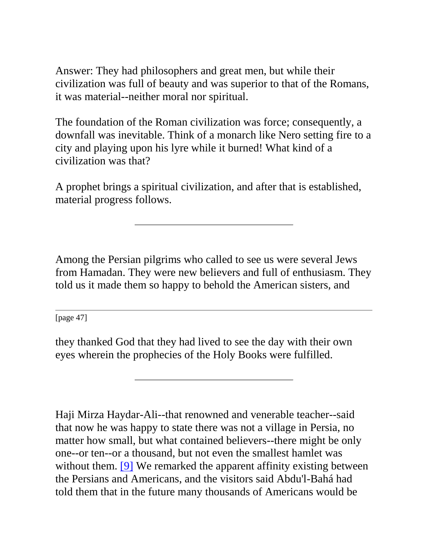Answer: They had philosophers and great men, but while their civilization was full of beauty and was superior to that of the Romans, it was material--neither moral nor spiritual.

The foundation of the Roman civilization was force; consequently, a downfall was inevitable. Think of a monarch like Nero setting fire to a city and playing upon his lyre while it burned! What kind of a civilization was that?

A prophet brings a spiritual civilization, and after that is established, material progress follows.

Among the Persian pilgrims who called to see us were several Jews from Hamadan. They were new believers and full of enthusiasm. They told us it made them so happy to behold the American sisters, and

[page 47]

they thanked God that they had lived to see the day with their own eyes wherein the prophecies of the Holy Books were fulfilled.

Haji Mirza Haydar-Ali--that renowned and venerable teacher--said that now he was happy to state there was not a village in Persia, no matter how small, but what contained believers--there might be only one--or ten--or a thousand, but not even the smallest hamlet was without them. [\[9\]](http://bahai-library.com/goodall_cooper_daily_lessons#fn9) We remarked the apparent affinity existing between the Persians and Americans, and the visitors said Abdu'l-Bahá had told them that in the future many thousands of Americans would be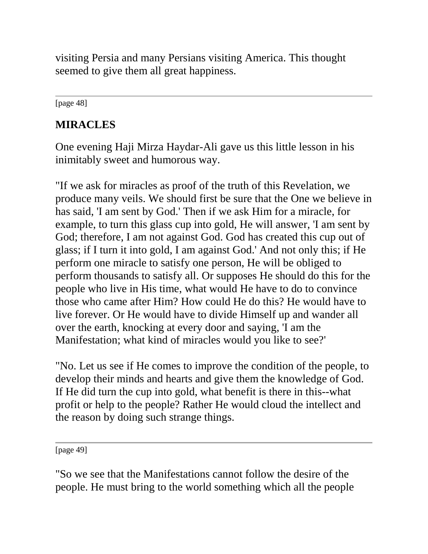visiting Persia and many Persians visiting America. This thought seemed to give them all great happiness.

[page 48]

# **MIRACLES**

One evening Haji Mirza Haydar-Ali gave us this little lesson in his inimitably sweet and humorous way.

"If we ask for miracles as proof of the truth of this Revelation, we produce many veils. We should first be sure that the One we believe in has said, 'I am sent by God.' Then if we ask Him for a miracle, for example, to turn this glass cup into gold, He will answer, 'I am sent by God; therefore, I am not against God. God has created this cup out of glass; if I turn it into gold, I am against God.' And not only this; if He perform one miracle to satisfy one person, He will be obliged to perform thousands to satisfy all. Or supposes He should do this for the people who live in His time, what would He have to do to convince those who came after Him? How could He do this? He would have to live forever. Or He would have to divide Himself up and wander all over the earth, knocking at every door and saying, 'I am the Manifestation; what kind of miracles would you like to see?'

"No. Let us see if He comes to improve the condition of the people, to develop their minds and hearts and give them the knowledge of God. If He did turn the cup into gold, what benefit is there in this--what profit or help to the people? Rather He would cloud the intellect and the reason by doing such strange things.

[page 49]

"So we see that the Manifestations cannot follow the desire of the people. He must bring to the world something which all the people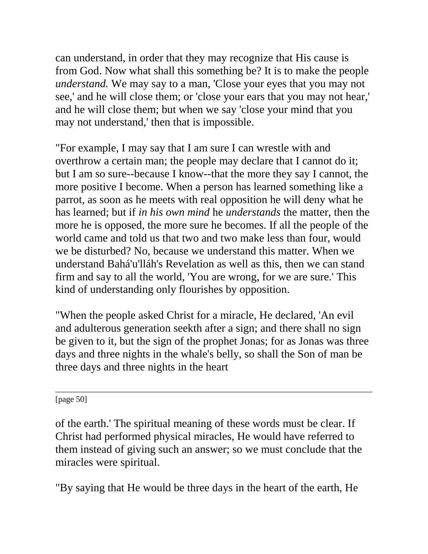can understand, in order that they may recognize that His cause is from God. Now what shall this something be? It is to make the people *understand.* We may say to a man, 'Close your eyes that you may not see,' and he will close them; or 'close your ears that you may not hear,' and he will close them; but when we say 'close your mind that you may not understand,' then that is impossible.

"For example, I may say that I am sure I can wrestle with and overthrow a certain man; the people may declare that I cannot do it; but I am so sure--because I know--that the more they say I cannot, the more positive I become. When a person has learned something like a parrot, as soon as he meets with real opposition he will deny what he has learned; but if *in his own mind* he *understands* the matter, then the more he is opposed, the more sure he becomes. If all the people of the world came and told us that two and two make less than four, would we be disturbed? No, because we understand this matter. When we understand Bahá'u'lláh's Revelation as well as this, then we can stand firm and say to all the world, 'You are wrong, for we are sure.' This kind of understanding only flourishes by opposition.

"When the people asked Christ for a miracle, He declared, 'An evil and adulterous generation seekth after a sign; and there shall no sign be given to it, but the sign of the prophet Jonas; for as Jonas was three days and three nights in the whale's belly, so shall the Son of man be three days and three nights in the heart

[page 50]

of the earth.' The spiritual meaning of these words must be clear. If Christ had performed physical miracles, He would have referred to them instead of giving such an answer; so we must conclude that the miracles were spiritual.

"By saying that He would be three days in the heart of the earth, He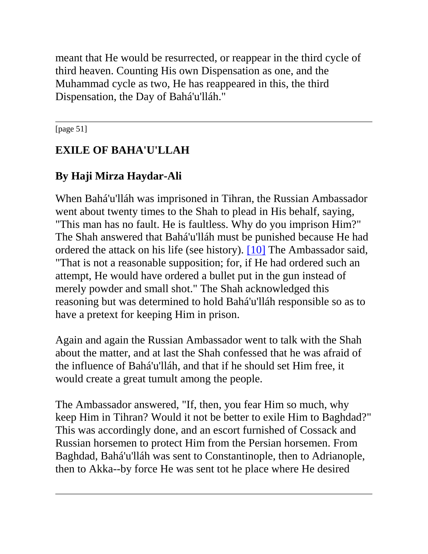meant that He would be resurrected, or reappear in the third cycle of third heaven. Counting His own Dispensation as one, and the Muhammad cycle as two, He has reappeared in this, the third Dispensation, the Day of Bahá'u'lláh."

[page 51]

# **EXILE OF BAHA'U'LLAH**

# **By Haji Mirza Haydar-Ali**

When Bahá'u'lláh was imprisoned in Tihran, the Russian Ambassador went about twenty times to the Shah to plead in His behalf, saying, "This man has no fault. He is faultless. Why do you imprison Him?" The Shah answered that Bahá'u'lláh must be punished because He had ordered the attack on his life (see history). [\[10\]](http://bahai-library.com/goodall_cooper_daily_lessons#fn10) The Ambassador said, "That is not a reasonable supposition; for, if He had ordered such an attempt, He would have ordered a bullet put in the gun instead of merely powder and small shot." The Shah acknowledged this reasoning but was determined to hold Bahá'u'lláh responsible so as to have a pretext for keeping Him in prison.

Again and again the Russian Ambassador went to talk with the Shah about the matter, and at last the Shah confessed that he was afraid of the influence of Bahá'u'lláh, and that if he should set Him free, it would create a great tumult among the people.

The Ambassador answered, "If, then, you fear Him so much, why keep Him in Tihran? Would it not be better to exile Him to Baghdad?" This was accordingly done, and an escort furnished of Cossack and Russian horsemen to protect Him from the Persian horsemen. From Baghdad, Bahá'u'lláh was sent to Constantinople, then to Adrianople, then to Akka--by force He was sent tot he place where He desired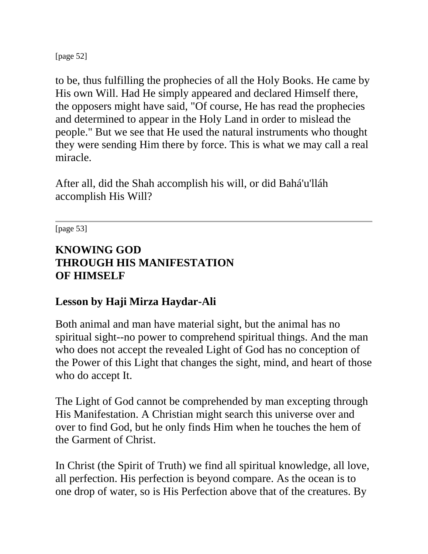[page 52]

to be, thus fulfilling the prophecies of all the Holy Books. He came by His own Will. Had He simply appeared and declared Himself there, the opposers might have said, "Of course, He has read the prophecies and determined to appear in the Holy Land in order to mislead the people." But we see that He used the natural instruments who thought they were sending Him there by force. This is what we may call a real miracle.

After all, did the Shah accomplish his will, or did Bahá'u'lláh accomplish His Will?

[page 53]

## **KNOWING GOD THROUGH HIS MANIFESTATION OF HIMSELF**

## **Lesson by Haji Mirza Haydar-Ali**

Both animal and man have material sight, but the animal has no spiritual sight--no power to comprehend spiritual things. And the man who does not accept the revealed Light of God has no conception of the Power of this Light that changes the sight, mind, and heart of those who do accept It.

The Light of God cannot be comprehended by man excepting through His Manifestation. A Christian might search this universe over and over to find God, but he only finds Him when he touches the hem of the Garment of Christ.

In Christ (the Spirit of Truth) we find all spiritual knowledge, all love, all perfection. His perfection is beyond compare. As the ocean is to one drop of water, so is His Perfection above that of the creatures. By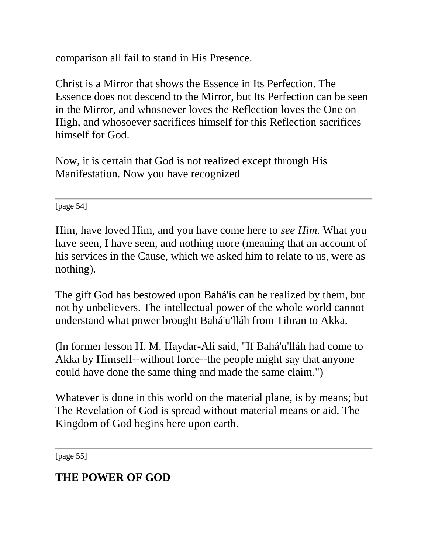comparison all fail to stand in His Presence.

Christ is a Mirror that shows the Essence in Its Perfection. The Essence does not descend to the Mirror, but Its Perfection can be seen in the Mirror, and whosoever loves the Reflection loves the One on High, and whosoever sacrifices himself for this Reflection sacrifices himself for God.

Now, it is certain that God is not realized except through His Manifestation. Now you have recognized

[page 54]

Him, have loved Him, and you have come here to *see Him*. What you have seen, I have seen, and nothing more (meaning that an account of his services in the Cause, which we asked him to relate to us, were as nothing).

The gift God has bestowed upon Bahá'ís can be realized by them, but not by unbelievers. The intellectual power of the whole world cannot understand what power brought Bahá'u'lláh from Tihran to Akka.

(In former lesson H. M. Haydar-Ali said, "If Bahá'u'lláh had come to Akka by Himself--without force--the people might say that anyone could have done the same thing and made the same claim.")

Whatever is done in this world on the material plane, is by means; but The Revelation of God is spread without material means or aid. The Kingdom of God begins here upon earth.

[page 55]

## **THE POWER OF GOD**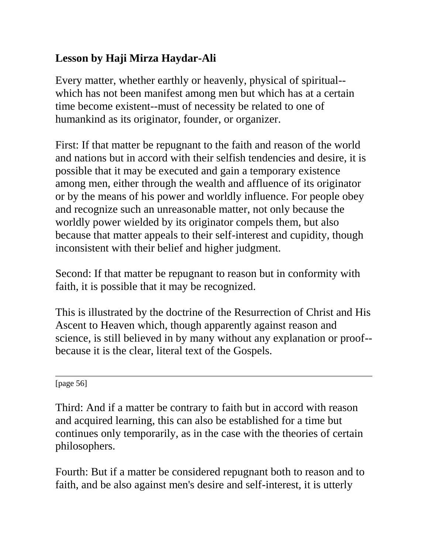# **Lesson by Haji Mirza Haydar-Ali**

Every matter, whether earthly or heavenly, physical of spiritual- which has not been manifest among men but which has at a certain time become existent--must of necessity be related to one of humankind as its originator, founder, or organizer.

First: If that matter be repugnant to the faith and reason of the world and nations but in accord with their selfish tendencies and desire, it is possible that it may be executed and gain a temporary existence among men, either through the wealth and affluence of its originator or by the means of his power and worldly influence. For people obey and recognize such an unreasonable matter, not only because the worldly power wielded by its originator compels them, but also because that matter appeals to their self-interest and cupidity, though inconsistent with their belief and higher judgment.

Second: If that matter be repugnant to reason but in conformity with faith, it is possible that it may be recognized.

This is illustrated by the doctrine of the Resurrection of Christ and His Ascent to Heaven which, though apparently against reason and science, is still believed in by many without any explanation or proof- because it is the clear, literal text of the Gospels.

[page 56]

Third: And if a matter be contrary to faith but in accord with reason and acquired learning, this can also be established for a time but continues only temporarily, as in the case with the theories of certain philosophers.

Fourth: But if a matter be considered repugnant both to reason and to faith, and be also against men's desire and self-interest, it is utterly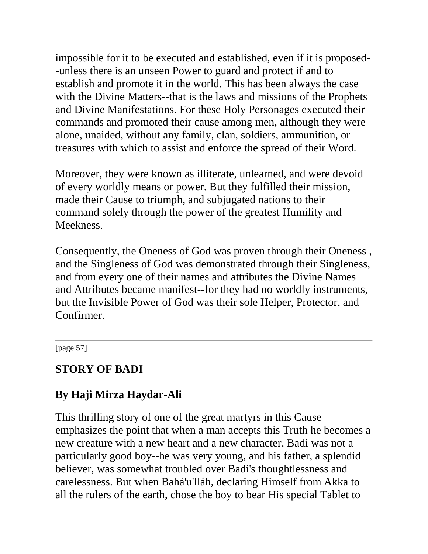impossible for it to be executed and established, even if it is proposed- -unless there is an unseen Power to guard and protect if and to establish and promote it in the world. This has been always the case with the Divine Matters--that is the laws and missions of the Prophets and Divine Manifestations. For these Holy Personages executed their commands and promoted their cause among men, although they were alone, unaided, without any family, clan, soldiers, ammunition, or treasures with which to assist and enforce the spread of their Word.

Moreover, they were known as illiterate, unlearned, and were devoid of every worldly means or power. But they fulfilled their mission, made their Cause to triumph, and subjugated nations to their command solely through the power of the greatest Humility and **Meekness** 

Consequently, the Oneness of God was proven through their Oneness , and the Singleness of God was demonstrated through their Singleness, and from every one of their names and attributes the Divine Names and Attributes became manifest--for they had no worldly instruments, but the Invisible Power of God was their sole Helper, Protector, and Confirmer.

[page 57]

### **STORY OF BADI**

### **By Haji Mirza Haydar-Ali**

This thrilling story of one of the great martyrs in this Cause emphasizes the point that when a man accepts this Truth he becomes a new creature with a new heart and a new character. Badi was not a particularly good boy--he was very young, and his father, a splendid believer, was somewhat troubled over Badi's thoughtlessness and carelessness. But when Bahá'u'lláh, declaring Himself from Akka to all the rulers of the earth, chose the boy to bear His special Tablet to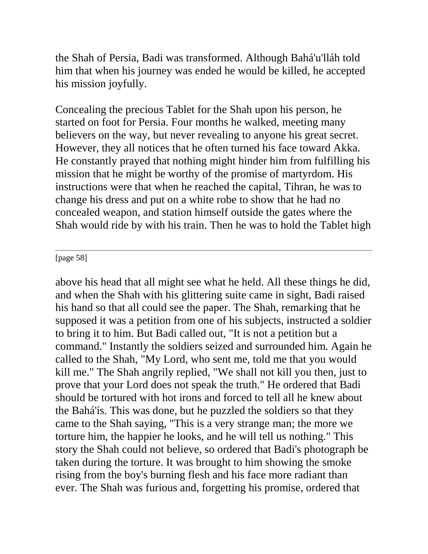the Shah of Persia, Badi was transformed. Although Bahá'u'lláh told him that when his journey was ended he would be killed, he accepted his mission joyfully.

Concealing the precious Tablet for the Shah upon his person, he started on foot for Persia. Four months he walked, meeting many believers on the way, but never revealing to anyone his great secret. However, they all notices that he often turned his face toward Akka. He constantly prayed that nothing might hinder him from fulfilling his mission that he might be worthy of the promise of martyrdom. His instructions were that when he reached the capital, Tihran, he was to change his dress and put on a white robe to show that he had no concealed weapon, and station himself outside the gates where the Shah would ride by with his train. Then he was to hold the Tablet high

[page 58]

above his head that all might see what he held. All these things he did, and when the Shah with his glittering suite came in sight, Badi raised his hand so that all could see the paper. The Shah, remarking that he supposed it was a petition from one of his subjects, instructed a soldier to bring it to him. But Badi called out, "It is not a petition but a command." Instantly the soldiers seized and surrounded him. Again he called to the Shah, "My Lord, who sent me, told me that you would kill me." The Shah angrily replied, "We shall not kill you then, just to prove that your Lord does not speak the truth." He ordered that Badi should be tortured with hot irons and forced to tell all he knew about the Bahá'ís. This was done, but he puzzled the soldiers so that they came to the Shah saying, "This is a very strange man; the more we torture him, the happier he looks, and he will tell us nothing." This story the Shah could not believe, so ordered that Badi's photograph be taken during the torture. It was brought to him showing the smoke rising from the boy's burning flesh and his face more radiant than ever. The Shah was furious and, forgetting his promise, ordered that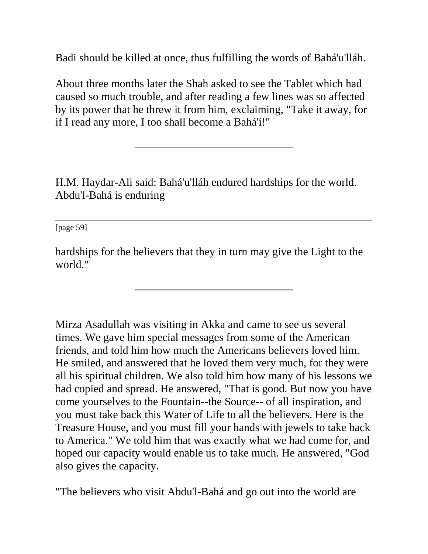Badi should be killed at once, thus fulfilling the words of Bahá'u'lláh.

About three months later the Shah asked to see the Tablet which had caused so much trouble, and after reading a few lines was so affected by its power that he threw it from him, exclaiming, "Take it away, for if I read any more, I too shall become a Bahá'í!"

H.M. Haydar-Ali said: Bahá'u'lláh endured hardships for the world. Abdu'l-Bahá is enduring

[page 59]

hardships for the believers that they in turn may give the Light to the world."

Mirza Asadullah was visiting in Akka and came to see us several times. We gave him special messages from some of the American friends, and told him how much the Americans believers loved him. He smiled, and answered that he loved them very much, for they were all his spiritual children. We also told him how many of his lessons we had copied and spread. He answered, "That is good. But now you have come yourselves to the Fountain--the Source-- of all inspiration, and you must take back this Water of Life to all the believers. Here is the Treasure House, and you must fill your hands with jewels to take back to America." We told him that was exactly what we had come for, and hoped our capacity would enable us to take much. He answered, "God also gives the capacity.

"The believers who visit Abdu'l-Bahá and go out into the world are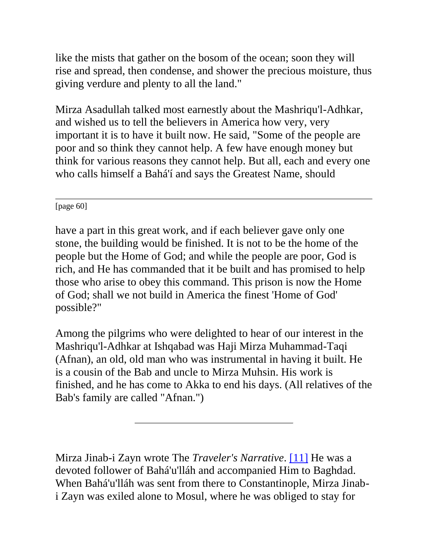like the mists that gather on the bosom of the ocean; soon they will rise and spread, then condense, and shower the precious moisture, thus giving verdure and plenty to all the land."

Mirza Asadullah talked most earnestly about the Mashriqu'l-Adhkar, and wished us to tell the believers in America how very, very important it is to have it built now. He said, "Some of the people are poor and so think they cannot help. A few have enough money but think for various reasons they cannot help. But all, each and every one who calls himself a Bahá'í and says the Greatest Name, should

[page 60]

have a part in this great work, and if each believer gave only one stone, the building would be finished. It is not to be the home of the people but the Home of God; and while the people are poor, God is rich, and He has commanded that it be built and has promised to help those who arise to obey this command. This prison is now the Home of God; shall we not build in America the finest 'Home of God' possible?"

Among the pilgrims who were delighted to hear of our interest in the Mashriqu'l-Adhkar at Ishqabad was Haji Mirza Muhammad-Taqi (Afnan), an old, old man who was instrumental in having it built. He is a cousin of the Bab and uncle to Mirza Muhsin. His work is finished, and he has come to Akka to end his days. (All relatives of the Bab's family are called "Afnan.")

Mirza Jinab-i Zayn wrote The *Traveler's Narrative*. [\[11\]](http://bahai-library.com/goodall_cooper_daily_lessons#fn11) He was a devoted follower of Bahá'u'lláh and accompanied Him to Baghdad. When Bahá'u'lláh was sent from there to Constantinople, Mirza Jinabi Zayn was exiled alone to Mosul, where he was obliged to stay for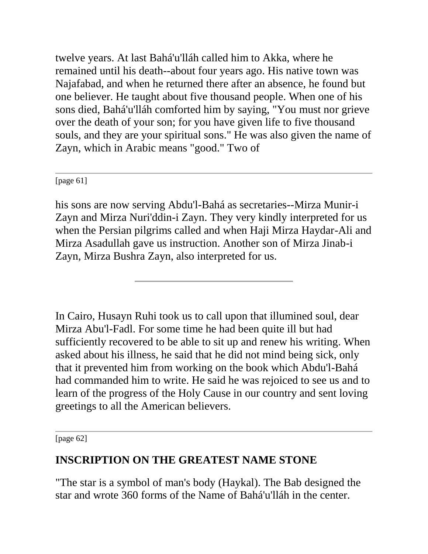twelve years. At last Bahá'u'lláh called him to Akka, where he remained until his death--about four years ago. His native town was Najafabad, and when he returned there after an absence, he found but one believer. He taught about five thousand people. When one of his sons died, Bahá'u'lláh comforted him by saying, "You must nor grieve over the death of your son; for you have given life to five thousand souls, and they are your spiritual sons." He was also given the name of Zayn, which in Arabic means "good." Two of

[page 61]

his sons are now serving Abdu'l-Bahá as secretaries--Mirza Munir-i Zayn and Mirza Nuri'ddin-i Zayn. They very kindly interpreted for us when the Persian pilgrims called and when Haji Mirza Haydar-Ali and Mirza Asadullah gave us instruction. Another son of Mirza Jinab-i Zayn, Mirza Bushra Zayn, also interpreted for us.

In Cairo, Husayn Ruhi took us to call upon that illumined soul, dear Mirza Abu'l-Fadl. For some time he had been quite ill but had sufficiently recovered to be able to sit up and renew his writing. When asked about his illness, he said that he did not mind being sick, only that it prevented him from working on the book which Abdu'l-Bahá had commanded him to write. He said he was rejoiced to see us and to learn of the progress of the Holy Cause in our country and sent loving greetings to all the American believers.

[page 62]

## **INSCRIPTION ON THE GREATEST NAME STONE**

"The star is a symbol of man's body (Haykal). The Bab designed the star and wrote 360 forms of the Name of Bahá'u'lláh in the center.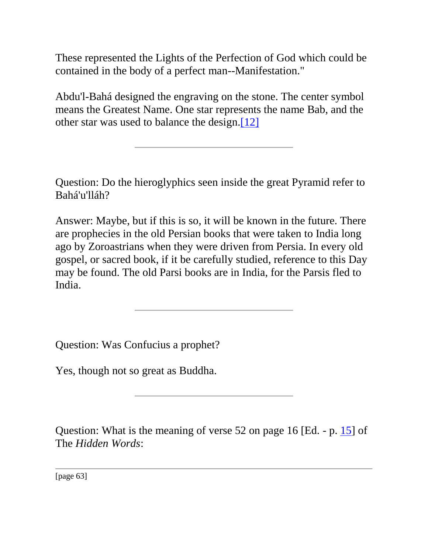These represented the Lights of the Perfection of God which could be contained in the body of a perfect man--Manifestation."

Abdu'l-Bahá designed the engraving on the stone. The center symbol means the Greatest Name. One star represents the name Bab, and the other star was used to balance the design[.\[12\]](http://bahai-library.com/goodall_cooper_daily_lessons#fn12)

Question: Do the hieroglyphics seen inside the great Pyramid refer to Bahá'u'lláh?

Answer: Maybe, but if this is so, it will be known in the future. There are prophecies in the old Persian books that were taken to India long ago by Zoroastrians when they were driven from Persia. In every old gospel, or sacred book, if it be carefully studied, reference to this Day may be found. The old Parsi books are in India, for the Parsis fled to India.

Question: Was Confucius a prophet?

Yes, though not so great as Buddha.

Question: What is the meaning of verse 52 on page 16 [Ed. - p. [15\]](http://bahai-library.com/writings/bahaullah/hw/hw-all.html#15) of The *Hidden Words*:

[page 63]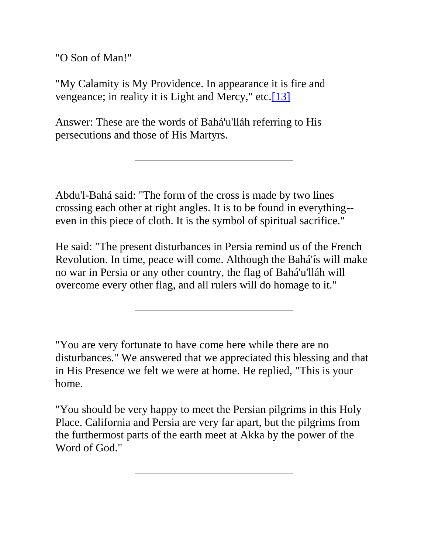"O Son of Man!"

"My Calamity is My Providence. In appearance it is fire and vengeance; in reality it is Light and Mercy," etc[.\[13\]](http://bahai-library.com/goodall_cooper_daily_lessons#fn13)

Answer: These are the words of Bahá'u'lláh referring to His persecutions and those of His Martyrs.

Abdu'l-Bahá said: "The form of the cross is made by two lines crossing each other at right angles. It is to be found in everything- even in this piece of cloth. It is the symbol of spiritual sacrifice."

He said: "The present disturbances in Persia remind us of the French Revolution. In time, peace will come. Although the Bahá'ís will make no war in Persia or any other country, the flag of Bahá'u'lláh will overcome every other flag, and all rulers will do homage to it."

"You are very fortunate to have come here while there are no disturbances." We answered that we appreciated this blessing and that in His Presence we felt we were at home. He replied, "This is your home.

"You should be very happy to meet the Persian pilgrims in this Holy Place. California and Persia are very far apart, but the pilgrims from the furthermost parts of the earth meet at Akka by the power of the Word of God."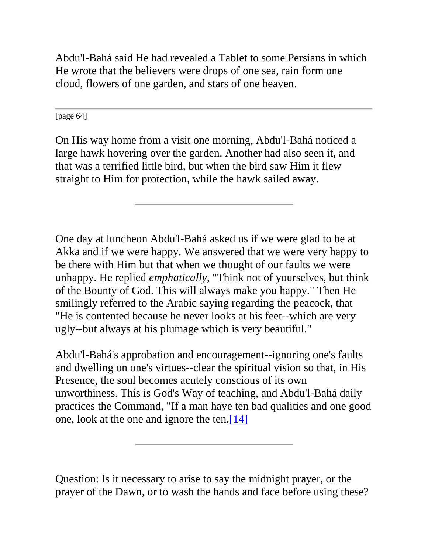Abdu'l-Bahá said He had revealed a Tablet to some Persians in which He wrote that the believers were drops of one sea, rain form one cloud, flowers of one garden, and stars of one heaven.

[page 64]

On His way home from a visit one morning, Abdu'l-Bahá noticed a large hawk hovering over the garden. Another had also seen it, and that was a terrified little bird, but when the bird saw Him it flew straight to Him for protection, while the hawk sailed away.

One day at luncheon Abdu'l-Bahá asked us if we were glad to be at Akka and if we were happy. We answered that we were very happy to be there with Him but that when we thought of our faults we were unhappy. He replied *emphatically*, "Think not of yourselves, but think of the Bounty of God. This will always make you happy." Then He smilingly referred to the Arabic saying regarding the peacock, that "He is contented because he never looks at his feet--which are very ugly--but always at his plumage which is very beautiful."

Abdu'l-Bahá's approbation and encouragement--ignoring one's faults and dwelling on one's virtues--clear the spiritual vision so that, in His Presence, the soul becomes acutely conscious of its own unworthiness. This is God's Way of teaching, and Abdu'l-Bahá daily practices the Command, "If a man have ten bad qualities and one good one, look at the one and ignore the ten[.\[14\]](http://bahai-library.com/goodall_cooper_daily_lessons#fn14)

Question: Is it necessary to arise to say the midnight prayer, or the prayer of the Dawn, or to wash the hands and face before using these?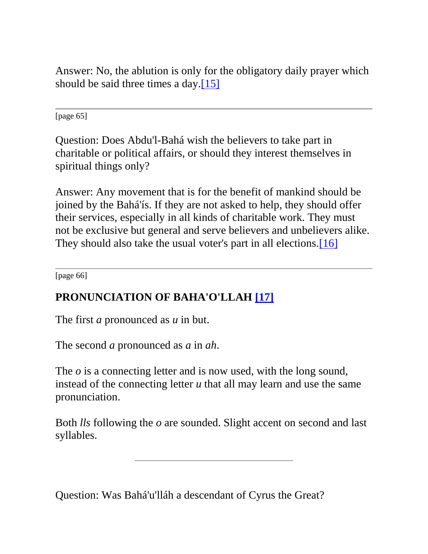Answer: No, the ablution is only for the obligatory daily prayer which should be said three times a day.<sup>[15]</sup>

[page 65]

Question: Does Abdu'l-Bahá wish the believers to take part in charitable or political affairs, or should they interest themselves in spiritual things only?

Answer: Any movement that is for the benefit of mankind should be joined by the Bahá'ís. If they are not asked to help, they should offer their services, especially in all kinds of charitable work. They must not be exclusive but general and serve believers and unbelievers alike. They should also take the usual voter's part in all elections.<sup>[16]</sup>

[page 66]

# **PRONUNCIATION OF BAHA'O'LLAH [\[17\]](http://bahai-library.com/goodall_cooper_daily_lessons#fn17)**

The first *a* pronounced as *u* in but.

The second *a* pronounced as *a* in *ah*.

The *o* is a connecting letter and is now used, with the long sound, instead of the connecting letter *u* that all may learn and use the same pronunciation.

Both *lls* following the *o* are sounded. Slight accent on second and last syllables.

Question: Was Bahá'u'lláh a descendant of Cyrus the Great?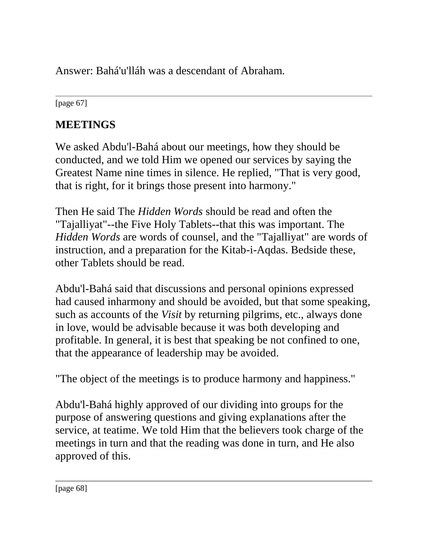Answer: Bahá'u'lláh was a descendant of Abraham.

[page 67]

# **MEETINGS**

We asked Abdu'l-Bahá about our meetings, how they should be conducted, and we told Him we opened our services by saying the Greatest Name nine times in silence. He replied, "That is very good, that is right, for it brings those present into harmony."

Then He said The *Hidden Words* should be read and often the "Tajalliyat"--the Five Holy Tablets--that this was important. The *Hidden Words* are words of counsel, and the "Tajalliyat" are words of instruction, and a preparation for the Kitab-i-Aqdas. Bedside these, other Tablets should be read.

Abdu'l-Bahá said that discussions and personal opinions expressed had caused inharmony and should be avoided, but that some speaking, such as accounts of the *Visit* by returning pilgrims, etc., always done in love, would be advisable because it was both developing and profitable. In general, it is best that speaking be not confined to one, that the appearance of leadership may be avoided.

"The object of the meetings is to produce harmony and happiness."

Abdu'l-Bahá highly approved of our dividing into groups for the purpose of answering questions and giving explanations after the service, at teatime. We told Him that the believers took charge of the meetings in turn and that the reading was done in turn, and He also approved of this.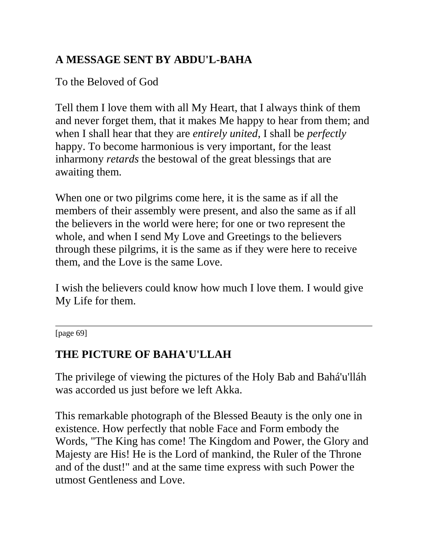# **A MESSAGE SENT BY ABDU'L-BAHA**

To the Beloved of God

Tell them I love them with all My Heart, that I always think of them and never forget them, that it makes Me happy to hear from them; and when I shall hear that they are *entirely united*, I shall be *perfectly* happy. To become harmonious is very important, for the least inharmony *retards* the bestowal of the great blessings that are awaiting them.

When one or two pilgrims come here, it is the same as if all the members of their assembly were present, and also the same as if all the believers in the world were here; for one or two represent the whole, and when I send My Love and Greetings to the believers through these pilgrims, it is the same as if they were here to receive them, and the Love is the same Love.

I wish the believers could know how much I love them. I would give My Life for them.

[page 69]

# **THE PICTURE OF BAHA'U'LLAH**

The privilege of viewing the pictures of the Holy Bab and Bahá'u'lláh was accorded us just before we left Akka.

This remarkable photograph of the Blessed Beauty is the only one in existence. How perfectly that noble Face and Form embody the Words, "The King has come! The Kingdom and Power, the Glory and Majesty are His! He is the Lord of mankind, the Ruler of the Throne and of the dust!" and at the same time express with such Power the utmost Gentleness and Love.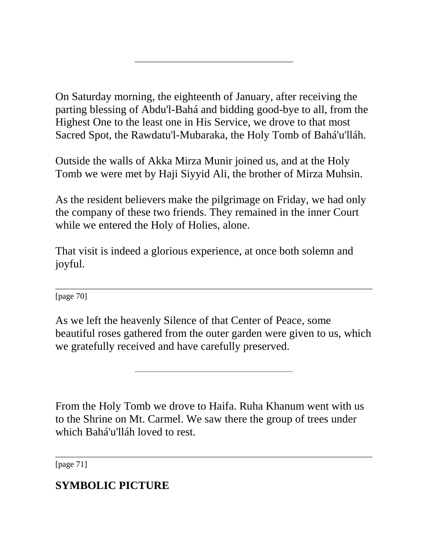On Saturday morning, the eighteenth of January, after receiving the parting blessing of Abdu'l-Bahá and bidding good-bye to all, from the Highest One to the least one in His Service, we drove to that most Sacred Spot, the Rawdatu'l-Mubaraka, the Holy Tomb of Bahá'u'lláh.

Outside the walls of Akka Mirza Munir joined us, and at the Holy Tomb we were met by Haji Siyyid Ali, the brother of Mirza Muhsin.

As the resident believers make the pilgrimage on Friday, we had only the company of these two friends. They remained in the inner Court while we entered the Holy of Holies, alone.

That visit is indeed a glorious experience, at once both solemn and joyful.

[page 70]

As we left the heavenly Silence of that Center of Peace, some beautiful roses gathered from the outer garden were given to us, which we gratefully received and have carefully preserved.

From the Holy Tomb we drove to Haifa. Ruha Khanum went with us to the Shrine on Mt. Carmel. We saw there the group of trees under which Bahá'u'lláh loved to rest.

[page 71]

# **SYMBOLIC PICTURE**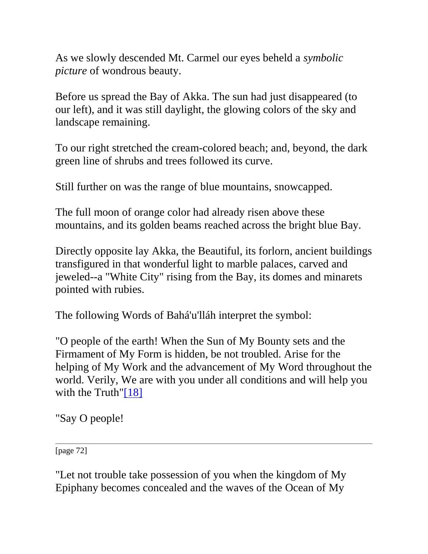As we slowly descended Mt. Carmel our eyes beheld a *symbolic picture* of wondrous beauty.

Before us spread the Bay of Akka. The sun had just disappeared (to our left), and it was still daylight, the glowing colors of the sky and landscape remaining.

To our right stretched the cream-colored beach; and, beyond, the dark green line of shrubs and trees followed its curve.

Still further on was the range of blue mountains, snowcapped.

The full moon of orange color had already risen above these mountains, and its golden beams reached across the bright blue Bay.

Directly opposite lay Akka, the Beautiful, its forlorn, ancient buildings transfigured in that wonderful light to marble palaces, carved and jeweled--a "White City" rising from the Bay, its domes and minarets pointed with rubies.

The following Words of Bahá'u'lláh interpret the symbol:

"O people of the earth! When the Sun of My Bounty sets and the Firmament of My Form is hidden, be not troubled. Arise for the helping of My Work and the advancement of My Word throughout the world. Verily, We are with you under all conditions and will help you with the Truth["\[18\]](http://bahai-library.com/goodall_cooper_daily_lessons#fn18)

"Say O people!

[page 72]

"Let not trouble take possession of you when the kingdom of My Epiphany becomes concealed and the waves of the Ocean of My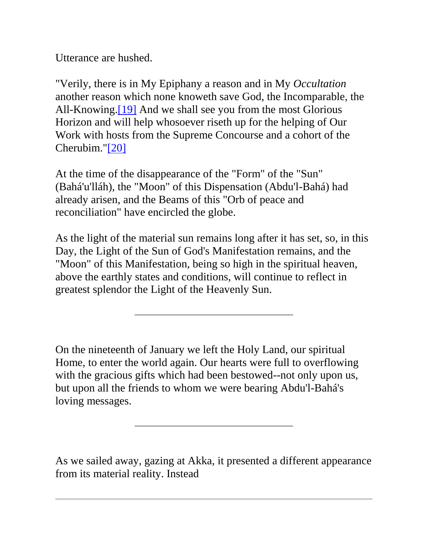Utterance are hushed.

"Verily, there is in My Epiphany a reason and in My *Occultation*  another reason which none knoweth save God, the Incomparable, the All-Knowing.<sup>[19]</sup> And we shall see you from the most Glorious Horizon and will help whosoever riseth up for the helping of Our Work with hosts from the Supreme Concourse and a cohort of the Cherubim.["\[20\]](http://bahai-library.com/goodall_cooper_daily_lessons#fn20)

At the time of the disappearance of the "Form" of the "Sun" (Bahá'u'lláh), the "Moon" of this Dispensation (Abdu'l-Bahá) had already arisen, and the Beams of this "Orb of peace and reconciliation" have encircled the globe.

As the light of the material sun remains long after it has set, so, in this Day, the Light of the Sun of God's Manifestation remains, and the "Moon" of this Manifestation, being so high in the spiritual heaven, above the earthly states and conditions, will continue to reflect in greatest splendor the Light of the Heavenly Sun.

On the nineteenth of January we left the Holy Land, our spiritual Home, to enter the world again. Our hearts were full to overflowing with the gracious gifts which had been bestowed--not only upon us, but upon all the friends to whom we were bearing Abdu'l-Bahá's loving messages.

As we sailed away, gazing at Akka, it presented a different appearance from its material reality. Instead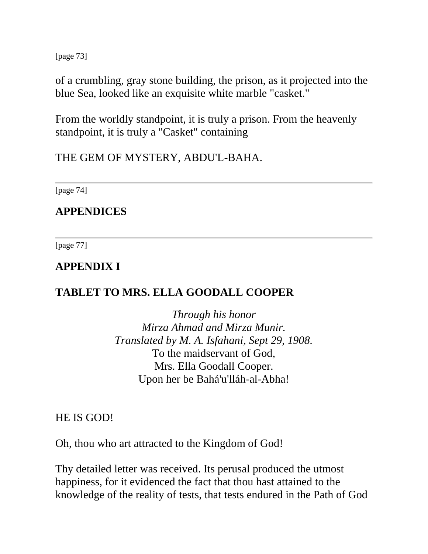[page 73]

of a crumbling, gray stone building, the prison, as it projected into the blue Sea, looked like an exquisite white marble "casket."

From the worldly standpoint, it is truly a prison. From the heavenly standpoint, it is truly a "Casket" containing

THE GEM OF MYSTERY, ABDU'L-BAHA.

[page 74]

**APPENDICES**

[page 77]

### **APPENDIX I**

## **TABLET TO MRS. ELLA GOODALL COOPER**

*Through his honor Mirza Ahmad and Mirza Munir. Translated by M. A. Isfahani, Sept 29, 1908.* To the maidservant of God, Mrs. Ella Goodall Cooper. Upon her be Bahá'u'lláh-al-Abha!

HE IS GOD!

Oh, thou who art attracted to the Kingdom of God!

Thy detailed letter was received. Its perusal produced the utmost happiness, for it evidenced the fact that thou hast attained to the knowledge of the reality of tests, that tests endured in the Path of God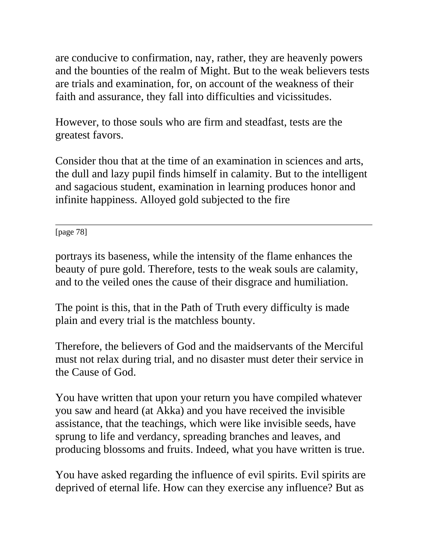are conducive to confirmation, nay, rather, they are heavenly powers and the bounties of the realm of Might. But to the weak believers tests are trials and examination, for, on account of the weakness of their faith and assurance, they fall into difficulties and vicissitudes.

However, to those souls who are firm and steadfast, tests are the greatest favors.

Consider thou that at the time of an examination in sciences and arts, the dull and lazy pupil finds himself in calamity. But to the intelligent and sagacious student, examination in learning produces honor and infinite happiness. Alloyed gold subjected to the fire

[page 78]

portrays its baseness, while the intensity of the flame enhances the beauty of pure gold. Therefore, tests to the weak souls are calamity, and to the veiled ones the cause of their disgrace and humiliation.

The point is this, that in the Path of Truth every difficulty is made plain and every trial is the matchless bounty.

Therefore, the believers of God and the maidservants of the Merciful must not relax during trial, and no disaster must deter their service in the Cause of God.

You have written that upon your return you have compiled whatever you saw and heard (at Akka) and you have received the invisible assistance, that the teachings, which were like invisible seeds, have sprung to life and verdancy, spreading branches and leaves, and producing blossoms and fruits. Indeed, what you have written is true.

You have asked regarding the influence of evil spirits. Evil spirits are deprived of eternal life. How can they exercise any influence? But as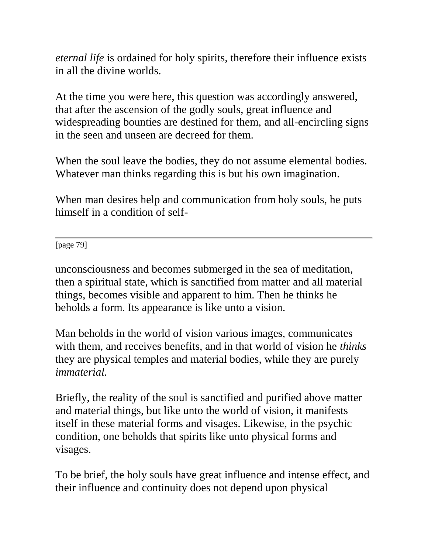*eternal life* is ordained for holy spirits, therefore their influence exists in all the divine worlds.

At the time you were here, this question was accordingly answered, that after the ascension of the godly souls, great influence and widespreading bounties are destined for them, and all-encircling signs in the seen and unseen are decreed for them.

When the soul leave the bodies, they do not assume elemental bodies. Whatever man thinks regarding this is but his own imagination.

When man desires help and communication from holy souls, he puts himself in a condition of self-

[page 79]

unconsciousness and becomes submerged in the sea of meditation, then a spiritual state, which is sanctified from matter and all material things, becomes visible and apparent to him. Then he thinks he beholds a form. Its appearance is like unto a vision.

Man beholds in the world of vision various images, communicates with them, and receives benefits, and in that world of vision he *thinks* they are physical temples and material bodies, while they are purely *immaterial.* 

Briefly, the reality of the soul is sanctified and purified above matter and material things, but like unto the world of vision, it manifests itself in these material forms and visages. Likewise, in the psychic condition, one beholds that spirits like unto physical forms and visages.

To be brief, the holy souls have great influence and intense effect, and their influence and continuity does not depend upon physical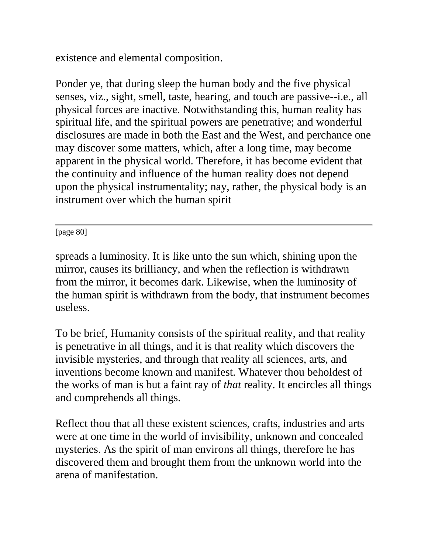existence and elemental composition.

Ponder ye, that during sleep the human body and the five physical senses, viz., sight, smell, taste, hearing, and touch are passive--i.e., all physical forces are inactive. Notwithstanding this, human reality has spiritual life, and the spiritual powers are penetrative; and wonderful disclosures are made in both the East and the West, and perchance one may discover some matters, which, after a long time, may become apparent in the physical world. Therefore, it has become evident that the continuity and influence of the human reality does not depend upon the physical instrumentality; nay, rather, the physical body is an instrument over which the human spirit

[page 80]

spreads a luminosity. It is like unto the sun which, shining upon the mirror, causes its brilliancy, and when the reflection is withdrawn from the mirror, it becomes dark. Likewise, when the luminosity of the human spirit is withdrawn from the body, that instrument becomes useless.

To be brief, Humanity consists of the spiritual reality, and that reality is penetrative in all things, and it is that reality which discovers the invisible mysteries, and through that reality all sciences, arts, and inventions become known and manifest. Whatever thou beholdest of the works of man is but a faint ray of *that* reality. It encircles all things and comprehends all things.

Reflect thou that all these existent sciences, crafts, industries and arts were at one time in the world of invisibility, unknown and concealed mysteries. As the spirit of man environs all things, therefore he has discovered them and brought them from the unknown world into the arena of manifestation.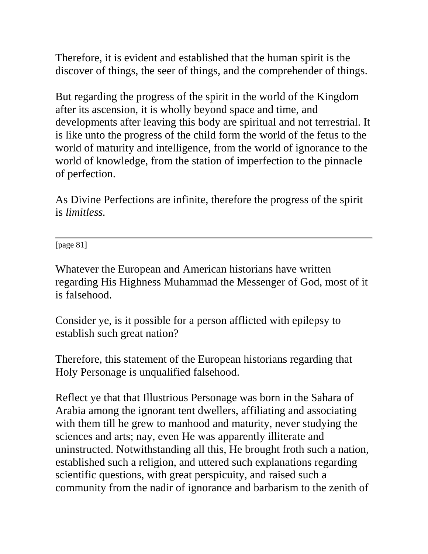Therefore, it is evident and established that the human spirit is the discover of things, the seer of things, and the comprehender of things.

But regarding the progress of the spirit in the world of the Kingdom after its ascension, it is wholly beyond space and time, and developments after leaving this body are spiritual and not terrestrial. It is like unto the progress of the child form the world of the fetus to the world of maturity and intelligence, from the world of ignorance to the world of knowledge, from the station of imperfection to the pinnacle of perfection.

As Divine Perfections are infinite, therefore the progress of the spirit is *limitless.* 

[page 81]

Whatever the European and American historians have written regarding His Highness Muhammad the Messenger of God, most of it is falsehood.

Consider ye, is it possible for a person afflicted with epilepsy to establish such great nation?

Therefore, this statement of the European historians regarding that Holy Personage is unqualified falsehood.

Reflect ye that that Illustrious Personage was born in the Sahara of Arabia among the ignorant tent dwellers, affiliating and associating with them till he grew to manhood and maturity, never studying the sciences and arts; nay, even He was apparently illiterate and uninstructed. Notwithstanding all this, He brought froth such a nation, established such a religion, and uttered such explanations regarding scientific questions, with great perspicuity, and raised such a community from the nadir of ignorance and barbarism to the zenith of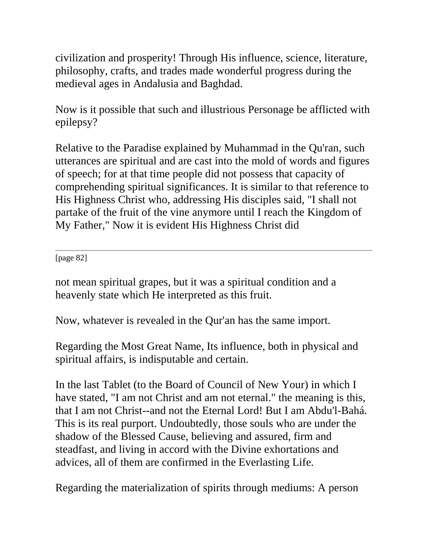civilization and prosperity! Through His influence, science, literature, philosophy, crafts, and trades made wonderful progress during the medieval ages in Andalusia and Baghdad.

Now is it possible that such and illustrious Personage be afflicted with epilepsy?

Relative to the Paradise explained by Muhammad in the Qu'ran, such utterances are spiritual and are cast into the mold of words and figures of speech; for at that time people did not possess that capacity of comprehending spiritual significances. It is similar to that reference to His Highness Christ who, addressing His disciples said, "I shall not partake of the fruit of the vine anymore until I reach the Kingdom of My Father," Now it is evident His Highness Christ did

[page 82]

not mean spiritual grapes, but it was a spiritual condition and a heavenly state which He interpreted as this fruit.

Now, whatever is revealed in the Qur'an has the same import.

Regarding the Most Great Name, Its influence, both in physical and spiritual affairs, is indisputable and certain.

In the last Tablet (to the Board of Council of New Your) in which I have stated, "I am not Christ and am not eternal." the meaning is this, that I am not Christ--and not the Eternal Lord! But I am Abdu'l-Bahá. This is its real purport. Undoubtedly, those souls who are under the shadow of the Blessed Cause, believing and assured, firm and steadfast, and living in accord with the Divine exhortations and advices, all of them are confirmed in the Everlasting Life.

Regarding the materialization of spirits through mediums: A person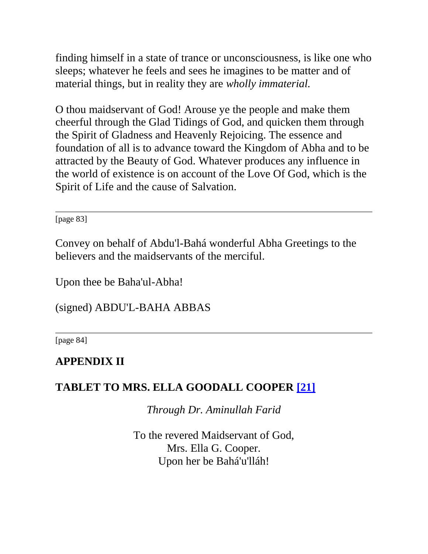finding himself in a state of trance or unconsciousness, is like one who sleeps; whatever he feels and sees he imagines to be matter and of material things, but in reality they are *wholly immaterial.* 

O thou maidservant of God! Arouse ye the people and make them cheerful through the Glad Tidings of God, and quicken them through the Spirit of Gladness and Heavenly Rejoicing. The essence and foundation of all is to advance toward the Kingdom of Abha and to be attracted by the Beauty of God. Whatever produces any influence in the world of existence is on account of the Love Of God, which is the Spirit of Life and the cause of Salvation.

[page 83]

Convey on behalf of Abdu'l-Bahá wonderful Abha Greetings to the believers and the maidservants of the merciful.

Upon thee be Baha'ul-Abha!

(signed) ABDU'L-BAHA ABBAS

[page 84]

### **APPENDIX II**

### **TABLET TO MRS. ELLA GOODALL COOPER [\[21\]](http://bahai-library.com/goodall_cooper_daily_lessons#fn21)**

*Through Dr. Aminullah Farid*

To the revered Maidservant of God, Mrs. Ella G. Cooper. Upon her be Bahá'u'lláh!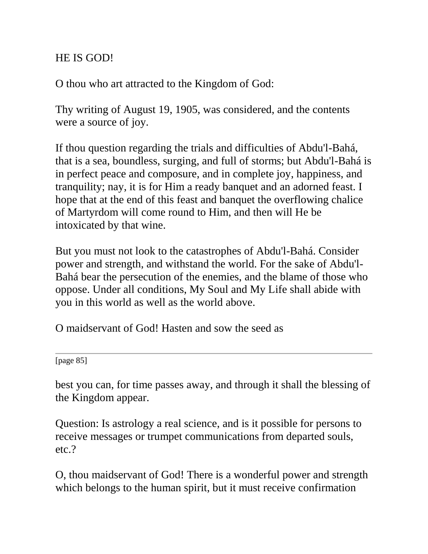### HE IS GOD!

O thou who art attracted to the Kingdom of God:

Thy writing of August 19, 1905, was considered, and the contents were a source of joy.

If thou question regarding the trials and difficulties of Abdu'l-Bahá, that is a sea, boundless, surging, and full of storms; but Abdu'l-Bahá is in perfect peace and composure, and in complete joy, happiness, and tranquility; nay, it is for Him a ready banquet and an adorned feast. I hope that at the end of this feast and banquet the overflowing chalice of Martyrdom will come round to Him, and then will He be intoxicated by that wine.

But you must not look to the catastrophes of Abdu'l-Bahá. Consider power and strength, and withstand the world. For the sake of Abdu'l-Bahá bear the persecution of the enemies, and the blame of those who oppose. Under all conditions, My Soul and My Life shall abide with you in this world as well as the world above.

O maidservant of God! Hasten and sow the seed as

[page 85]

best you can, for time passes away, and through it shall the blessing of the Kingdom appear.

Question: Is astrology a real science, and is it possible for persons to receive messages or trumpet communications from departed souls, etc.?

O, thou maidservant of God! There is a wonderful power and strength which belongs to the human spirit, but it must receive confirmation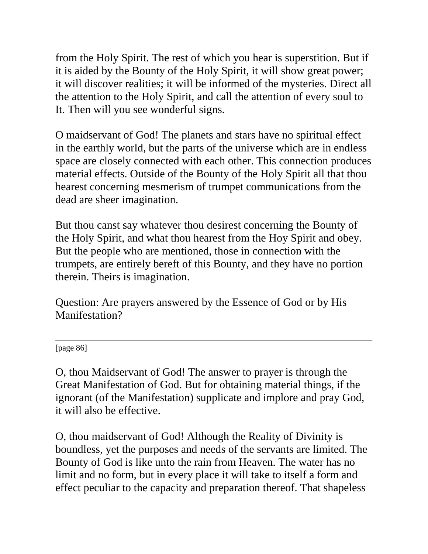from the Holy Spirit. The rest of which you hear is superstition. But if it is aided by the Bounty of the Holy Spirit, it will show great power; it will discover realities; it will be informed of the mysteries. Direct all the attention to the Holy Spirit, and call the attention of every soul to It. Then will you see wonderful signs.

O maidservant of God! The planets and stars have no spiritual effect in the earthly world, but the parts of the universe which are in endless space are closely connected with each other. This connection produces material effects. Outside of the Bounty of the Holy Spirit all that thou hearest concerning mesmerism of trumpet communications from the dead are sheer imagination.

But thou canst say whatever thou desirest concerning the Bounty of the Holy Spirit, and what thou hearest from the Hoy Spirit and obey. But the people who are mentioned, those in connection with the trumpets, are entirely bereft of this Bounty, and they have no portion therein. Theirs is imagination.

Question: Are prayers answered by the Essence of God or by His Manifestation?

[page 86]

O, thou Maidservant of God! The answer to prayer is through the Great Manifestation of God. But for obtaining material things, if the ignorant (of the Manifestation) supplicate and implore and pray God, it will also be effective.

O, thou maidservant of God! Although the Reality of Divinity is boundless, yet the purposes and needs of the servants are limited. The Bounty of God is like unto the rain from Heaven. The water has no limit and no form, but in every place it will take to itself a form and effect peculiar to the capacity and preparation thereof. That shapeless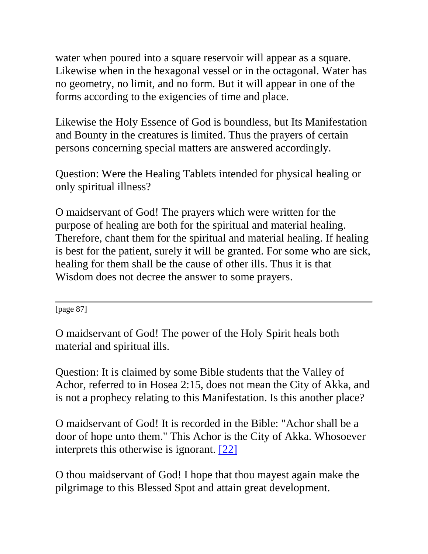water when poured into a square reservoir will appear as a square. Likewise when in the hexagonal vessel or in the octagonal. Water has no geometry, no limit, and no form. But it will appear in one of the forms according to the exigencies of time and place.

Likewise the Holy Essence of God is boundless, but Its Manifestation and Bounty in the creatures is limited. Thus the prayers of certain persons concerning special matters are answered accordingly.

Question: Were the Healing Tablets intended for physical healing or only spiritual illness?

O maidservant of God! The prayers which were written for the purpose of healing are both for the spiritual and material healing. Therefore, chant them for the spiritual and material healing. If healing is best for the patient, surely it will be granted. For some who are sick, healing for them shall be the cause of other ills. Thus it is that Wisdom does not decree the answer to some prayers.

[page 87]

O maidservant of God! The power of the Holy Spirit heals both material and spiritual ills.

Question: It is claimed by some Bible students that the Valley of Achor, referred to in Hosea 2:15, does not mean the City of Akka, and is not a prophecy relating to this Manifestation. Is this another place?

O maidservant of God! It is recorded in the Bible: "Achor shall be a door of hope unto them." This Achor is the City of Akka. Whosoever interprets this otherwise is ignorant. [\[22\]](http://bahai-library.com/goodall_cooper_daily_lessons#fn22)

O thou maidservant of God! I hope that thou mayest again make the pilgrimage to this Blessed Spot and attain great development.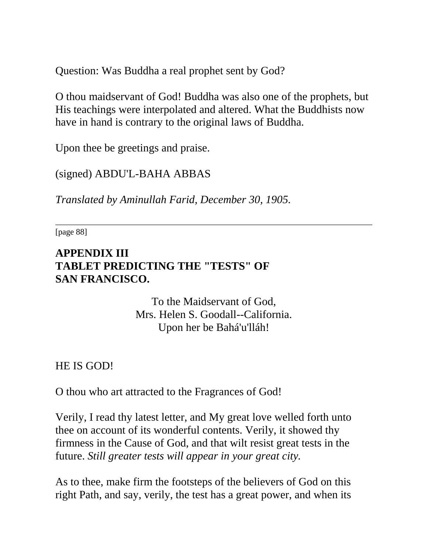Question: Was Buddha a real prophet sent by God?

O thou maidservant of God! Buddha was also one of the prophets, but His teachings were interpolated and altered. What the Buddhists now have in hand is contrary to the original laws of Buddha.

Upon thee be greetings and praise.

(signed) ABDU'L-BAHA ABBAS

*Translated by Aminullah Farid, December 30, 1905.*

[page 88]

#### **APPENDIX III TABLET PREDICTING THE "TESTS" OF SAN FRANCISCO.**

To the Maidservant of God, Mrs. Helen S. Goodall--California. Upon her be Bahá'u'lláh!

HE IS GOD!

O thou who art attracted to the Fragrances of God!

Verily, I read thy latest letter, and My great love welled forth unto thee on account of its wonderful contents. Verily, it showed thy firmness in the Cause of God, and that wilt resist great tests in the future. *Still greater tests will appear in your great city.*

As to thee, make firm the footsteps of the believers of God on this right Path, and say, verily, the test has a great power, and when its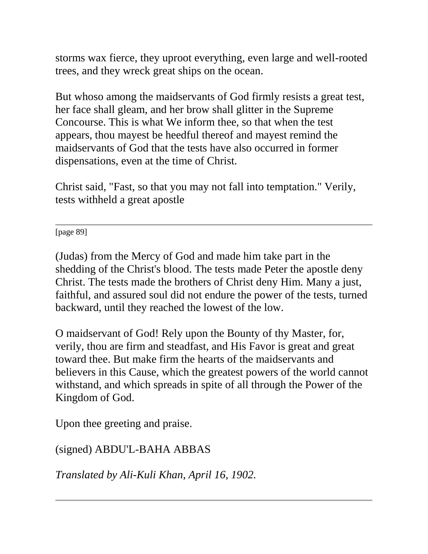storms wax fierce, they uproot everything, even large and well-rooted trees, and they wreck great ships on the ocean.

But whoso among the maidservants of God firmly resists a great test, her face shall gleam, and her brow shall glitter in the Supreme Concourse. This is what We inform thee, so that when the test appears, thou mayest be heedful thereof and mayest remind the maidservants of God that the tests have also occurred in former dispensations, even at the time of Christ.

Christ said, "Fast, so that you may not fall into temptation." Verily, tests withheld a great apostle

[page 89]

(Judas) from the Mercy of God and made him take part in the shedding of the Christ's blood. The tests made Peter the apostle deny Christ. The tests made the brothers of Christ deny Him. Many a just, faithful, and assured soul did not endure the power of the tests, turned backward, until they reached the lowest of the low.

O maidservant of God! Rely upon the Bounty of thy Master, for, verily, thou are firm and steadfast, and His Favor is great and great toward thee. But make firm the hearts of the maidservants and believers in this Cause, which the greatest powers of the world cannot withstand, and which spreads in spite of all through the Power of the Kingdom of God.

Upon thee greeting and praise.

(signed) ABDU'L-BAHA ABBAS

*Translated by Ali-Kuli Khan, April 16, 1902.*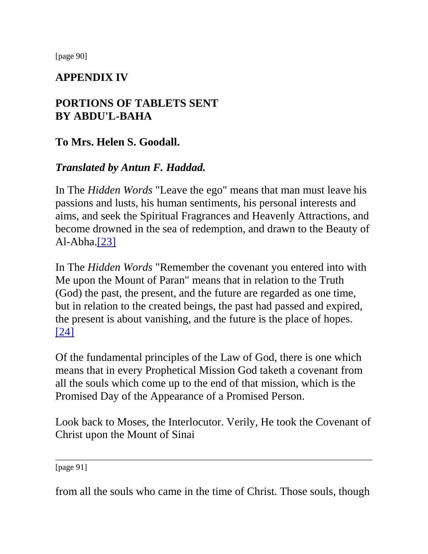[page 90]

## **APPENDIX IV**

# **PORTIONS OF TABLETS SENT BY ABDU'L-BAHA**

## **To Mrs. Helen S. Goodall.**

## *Translated by Antun F. Haddad.*

In The *Hidden Words* "Leave the ego" means that man must leave his passions and lusts, his human sentiments, his personal interests and aims, and seek the Spiritual Fragrances and Heavenly Attractions, and become drowned in the sea of redemption, and drawn to the Beauty of Al-Abha[.\[23\]](http://bahai-library.com/goodall_cooper_daily_lessons#fn23)

In The *Hidden Words* "Remember the covenant you entered into with Me upon the Mount of Paran" means that in relation to the Truth (God) the past, the present, and the future are regarded as one time, but in relation to the created beings, the past had passed and expired, the present is about vanishing, and the future is the place of hopes. [\[24\]](http://bahai-library.com/goodall_cooper_daily_lessons#fn24)

Of the fundamental principles of the Law of God, there is one which means that in every Prophetical Mission God taketh a covenant from all the souls which come up to the end of that mission, which is the Promised Day of the Appearance of a Promised Person.

Look back to Moses, the Interlocutor. Verily, He took the Covenant of Christ upon the Mount of Sinai

[page 91]

from all the souls who came in the time of Christ. Those souls, though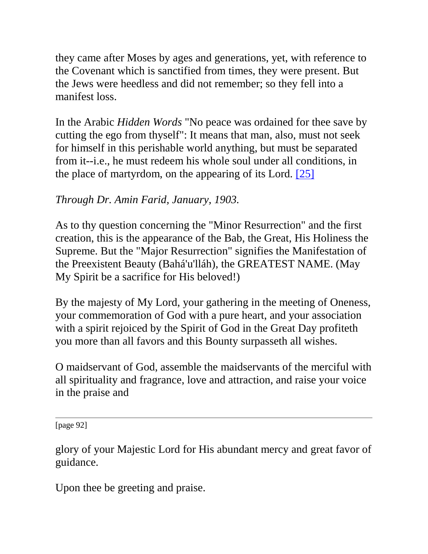they came after Moses by ages and generations, yet, with reference to the Covenant which is sanctified from times, they were present. But the Jews were heedless and did not remember; so they fell into a manifest loss.

In the Arabic *Hidden Words* "No peace was ordained for thee save by cutting the ego from thyself": It means that man, also, must not seek for himself in this perishable world anything, but must be separated from it--i.e., he must redeem his whole soul under all conditions, in the place of martyrdom, on the appearing of its Lord. [\[25\]](http://bahai-library.com/goodall_cooper_daily_lessons#fn25)

# *Through Dr. Amin Farid, January, 1903.*

As to thy question concerning the "Minor Resurrection" and the first creation, this is the appearance of the Bab, the Great, His Holiness the Supreme. But the "Major Resurrection" signifies the Manifestation of the Preexistent Beauty (Bahá'u'lláh), the GREATEST NAME. (May My Spirit be a sacrifice for His beloved!)

By the majesty of My Lord, your gathering in the meeting of Oneness, your commemoration of God with a pure heart, and your association with a spirit rejoiced by the Spirit of God in the Great Day profiteth you more than all favors and this Bounty surpasseth all wishes.

O maidservant of God, assemble the maidservants of the merciful with all spirituality and fragrance, love and attraction, and raise your voice in the praise and

[page 92]

glory of your Majestic Lord for His abundant mercy and great favor of guidance.

Upon thee be greeting and praise.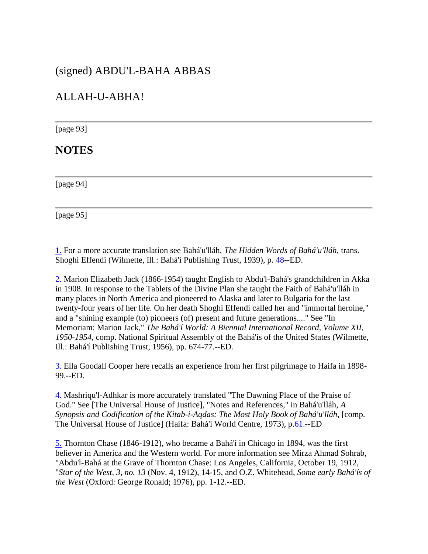#### (signed) ABDU'L-BAHA ABBAS

### ALLAH-U-ABHA!

[page 93]

#### **NOTES**

[page 94]

[page 95]

[1.](http://bahai-library.com/goodall_cooper_daily_lessons#n1) For a more accurate translation see Bahá'u'lláh, *The Hidden Words of Bahá'u'lláh,* trans. Shoghi Effendi (Wilmette, Ill.: Bahá'í Publishing Trust, 1939), p. [48-](http://www.bahai-library.com/writings/bahaullah/hw/hw-all.html#48)-ED.

[2.](http://bahai-library.com/goodall_cooper_daily_lessons#n2) Marion Elizabeth Jack (1866-1954) taught English to Abdu'l-Bahá's grandchildren in Akka in 1908. In response to the Tablets of the Divine Plan she taught the Faith of Bahá'u'lláh in many places in North America and pioneered to Alaska and later to Bulgaria for the last twenty-four years of her life. On her death Shoghi Effendi called her and "immortal heroine," and a "shining example (to) pioneers (of) present and future generations...." See "In Memoriam: Marion Jack," *The Bahá'í World: A Biennial International Record, Volume XII, 1950-1954*, comp. National Spiritual Assembly of the Bahá'ís of the United States (Wilmette, Ill.: Bahá'í Publishing Trust, 1956), pp. 674-77.--ED.

[3.](http://bahai-library.com/goodall_cooper_daily_lessons#n3) Ella Goodall Cooper here recalls an experience from her first pilgrimage to Haifa in 1898- 99.--ED.

[4.](http://bahai-library.com/goodall_cooper_daily_lessons#n4) Mashriqu'l-Adhkar is more accurately translated "The Dawning Place of the Praise of God." See [The Universal House of Justice], "Notes and References," in Bahá'u'lláh, *A*  Synopsis and Codification of the Kitab-i-Aqdas: The Most Holy Book of Bahá'u'lláh, [comp. The Universal House of Justice] (Haifa: Bahá'í World Centre, 1973), p[.61.](http://bahai-library.com/bahaullah_synopsis_codification.html#61)--ED

[5.](http://bahai-library.com/goodall_cooper_daily_lessons#n5) Thornton Chase (1846-1912), who became a Bahá'í in Chicago in 1894, was the first believer in America and the Western world. For more information see Mirza Ahmad Sohrab, "Abdu'l-Bahá at the Grave of Thornton Chase: Los Angeles, California, October 19, 1912, "*Star of the West, 3, no. 13* (Nov. 4, 1912), 14-15, and O.Z. Whitehead, *Some early Bahá'ís of the West* (Oxford: George Ronald; 1976), pp. 1-12.--ED.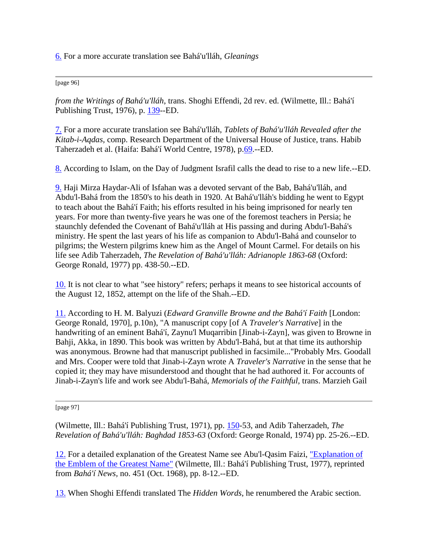[6.](http://bahai-library.com/goodall_cooper_daily_lessons#n6) For a more accurate translation see Bahá'u'lláh, *Gleanings*

[page 96]

*from the Writings of Bahá'u'lláh*, trans. Shoghi Effendi, 2d rev. ed. (Wilmette, Ill.: Bahá'í Publishing Trust, 1976), p. [139-](http://bahai-library.com/writings/bahaullah/gwb/gleaningsall.html#139)-ED.

[7.](http://bahai-library.com/goodall_cooper_daily_lessons#n7) For a more accurate translation see Bahá'u'lláh, *Tablets of Bahá'u'lláh Revealed after the Kitab-i-Aqdas,* comp. Research Department of the Universal House of Justice, trans. Habib Taherzadeh et al. (Haifa: Bahá'í World Centre, 1978), p[.69.](http://bahai-library.com/writings/bahaullah/tb/tb.html#69)--ED.

[8.](http://bahai-library.com/goodall_cooper_daily_lessons#n8) According to Islam, on the Day of Judgment Israfil calls the dead to rise to a new life.--ED.

[9.](http://bahai-library.com/goodall_cooper_daily_lessons#n9) Haji Mirza Haydar-Ali of Isfahan was a devoted servant of the Bab, Bahá'u'lláh, and Abdu'l-Bahá from the 1850's to his death in 1920. At Bahá'u'lláh's bidding he went to Egypt to teach about the Bahá'í Faith; his efforts resulted in his being imprisoned for nearly ten years. For more than twenty-five years he was one of the foremost teachers in Persia; he staunchly defended the Covenant of Bahá'u'lláh at His passing and during Abdu'l-Bahá's ministry. He spent the last years of his life as companion to Abdu'l-Bahá and counselor to pilgrims; the Western pilgrims knew him as the Angel of Mount Carmel. For details on his life see Adib Taherzadeh, *The Revelation of Bahá'u'lláh: Adrianople 1863-68* (Oxford: George Ronald, 1977) pp. 438-50.--ED.

[10.](http://bahai-library.com/goodall_cooper_daily_lessons#n10) It is not clear to what "see history" refers; perhaps it means to see historical accounts of the August 12, 1852, attempt on the life of the Shah.--ED.

[11.](http://bahai-library.com/goodall_cooper_daily_lessons#n11) According to H. M. Balyuzi (*Edward Granville Browne and the Bahá'í Faith* [London: George Ronald, 1970], p.10n), "A manuscript copy [of A *Traveler's Narrative*] in the handwriting of an eminent Bahá'í, Zaynu'l Muqarribin [Jinab-i-Zayn], was given to Browne in Bahji, Akka, in 1890. This book was written by Abdu'l-Bahá, but at that time its authorship was anonymous. Browne had that manuscript published in facsimile..."Probably Mrs. Goodall and Mrs. Cooper were told that Jinab-i-Zayn wrote A *Traveler's Narrative* in the sense that he copied it; they may have misunderstood and thought that he had authored it. For accounts of Jinab-i-Zayn's life and work see Abdu'l-Bahá, *Memorials of the Faithful,* trans. Marzieh Gail

[page 97]

(Wilmette, Ill.: Bahá'í Publishing Trust, 1971), pp. [150-](http://bahai-library.com/writings/abdulbaha/mf/mf.html#150)53, and Adib Taherzadeh, *The Revelation of Bahá'u'lláh: Baghdad 1853-63* (Oxford: George Ronald, 1974) pp. 25-26.--ED.

[12.](http://bahai-library.com/goodall_cooper_daily_lessons#n12) For a detailed explanation of the Greatest Name see Abu'l-Qasim Faizi, ["Explanation of](http://bahai-library.com/faizi_symbol_greatest_name.html)  [the Emblem of the Greatest Name"](http://bahai-library.com/faizi_symbol_greatest_name.html) (Wilmette, Ill.: Bahá'í Publishing Trust, 1977), reprinted from *Bahá'í News,* no. 451 (Oct. 1968), pp. 8-12.--ED.

[13.](http://bahai-library.com/goodall_cooper_daily_lessons#n13) When Shoghi Effendi translated The *Hidden Words*, he renumbered the Arabic section.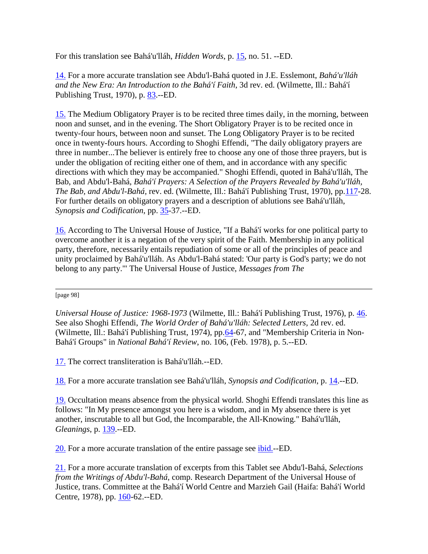For this translation see Bahá'u'lláh, *Hidden Words*, p. [15,](http://www.bahai-library.com/writings/bahaullah/hw/hw-all.html#15) no. 51. --ED.

[14.](http://bahai-library.com/goodall_cooper_daily_lessons#n14) For a more accurate translation see Abdu'l-Bahá quoted in J.E. Esslemont, *Bahá'u'lláh and the New Era: An Introduction to the Bahá'í Faith*, 3d rev. ed. (Wilmette, Ill.: Bahá'í Publishing Trust, 1970), p. [83.](http://www.bahai-library.com/books/new.era/bne.html#83)--ED.

[15.](http://bahai-library.com/goodall_cooper_daily_lessons#n15) The Medium Obligatory Prayer is to be recited three times daily, in the morning, between noon and sunset, and in the evening. The Short Obligatory Prayer is to be recited once in twenty-four hours, between noon and sunset. The Long Obligatory Prayer is to be recited once in twenty-fours hours. According to Shoghi Effendi, "The daily obligatory prayers are three in number...The believer is entirely free to choose any one of those three prayers, but is under the obligation of reciting either one of them, and in accordance with any specific directions with which they may be accompanied." Shoghi Effendi, quoted in Bahá'u'lláh, The Bab, and Abdu'l-Bahá, *Bahá'í Prayers: A Selection of the Prayers Revealed by Bahá'u'lláh, The Bab, and Abdu'l-Bahá,* rev. ed. (Wilmette, Ill.: Bahá'í Publishing Trust, 1970), pp[.117-](http://www.bahai-library.com/compilations/prayers/bp.html#117)28. For further details on obligatory prayers and a description of ablutions see Bahá'u'lláh, *Synopsis and Codification*, pp. [35-](http://bahai-library.com/bahaullah_synopsis_codification.html#35)37.--ED.

[16.](http://bahai-library.com/goodall_cooper_daily_lessons#n16) According to The Universal House of Justice, "If a Bahá'í works for one political party to overcome another it is a negation of the very spirit of the Faith. Membership in any political party, therefore, necessarily entails repudiation of some or all of the principles of peace and unity proclaimed by Bahá'u'lláh. As Abdu'l-Bahá stated: 'Our party is God's party; we do not belong to any party.'" The Universal House of Justice, *Messages from The*

[page 98]

*Universal House of Justice: 1968-1973* (Wilmette, Ill.: Bahá'í Publishing Trust, 1976), p. [46.](http://bahai-library.com/published.uhj/messages.1968-73.html#46) See also Shoghi Effendi, *The World Order of Bahá'u'lláh: Selected Letters,* 2d rev. ed. (Wilmette, Ill.: Bahá'í Publishing Trust, 1974), pp. 64-67, and "Membership Criteria in Non-Bahá'í Groups" in *National Bahá'í Review*, no. 106, (Feb. 1978), p. 5.--ED.

[17.](http://bahai-library.com/goodall_cooper_daily_lessons#n17) The correct transliteration is Bahá'u'lláh.--ED.

[18.](http://bahai-library.com/goodall_cooper_daily_lessons#n18) For a more accurate translation see Bahá'u'lláh, *Synopsis and Codification*, p. [14.](http://bahai-library.com/bahaullah_synopsis_codification.html#14)--ED.

[19.](http://bahai-library.com/goodall_cooper_daily_lessons#n19) Occultation means absence from the physical world. Shoghi Effendi translates this line as follows: "In My presence amongst you here is a wisdom, and in My absence there is yet another, inscrutable to all but God, the Incomparable, the All-Knowing." Bahá'u'lláh, *Gleanings*, p. [139.](http://bahai-library.com/writings/bahaullah/gwb/gleaningsall.html#139)--ED.

[20.](http://bahai-library.com/goodall_cooper_daily_lessons#n20) For a more accurate translation of the entire passage see [ibid.-](http://bahai-library.com/writings/bahaullah/gwb/gleaningsall.html#139)-ED.

[21.](http://bahai-library.com/goodall_cooper_daily_lessons#n21) For a more accurate translation of excerpts from this Tablet see Abdu'l-Bahá, *Selections from the Writings of Abdu'l-Bahá*, comp. Research Department of the Universal House of Justice, trans. Committee at the Bahá'í World Centre and Marzieh Gail (Haifa: Bahá'í World Centre, 1978), pp. [160-](http://bahai-library.com/writings/abdulbaha/swab/swaball.html#160)62.--ED.